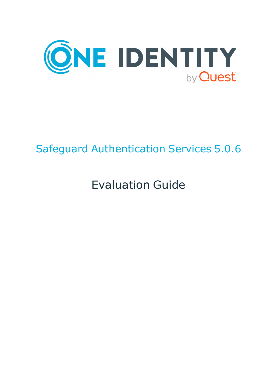

# Safeguard Authentication Services 5.0.6

# Evaluation Guide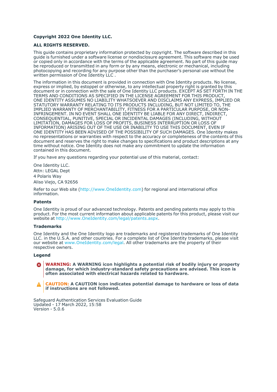#### **Copyright 2022 One Identity LLC.**

#### **ALL RIGHTS RESERVED.**

This guide contains proprietary information protected by copyright. The software described in this guide is furnished under a software license or nondisclosure agreement. This software may be used or copied only in accordance with the terms of the applicable agreement. No part of this guide may be reproduced or transmitted in any form or by any means, electronic or mechanical, including photocopying and recording for any purpose other than the purchaser's personal use without the written permission of One Identity LLC .

The information in this document is provided in connection with One Identity products. No license, express or implied, by estoppel or otherwise, to any intellectual property right is granted by this document or in connection with the sale of One Identity LLC products. EXCEPT AS SET FORTH IN THE TERMS AND CONDITIONS AS SPECIFIED IN THE LICENSE AGREEMENT FOR THIS PRODUCT, ONE IDENTITY ASSUMES NO LIABILITY WHATSOEVER AND DISCLAIMS ANY EXPRESS, IMPLIED OR STATUTORY WARRANTY RELATING TO ITS PRODUCTS INCLUDING, BUT NOT LIMITED TO, THE IMPLIED WARRANTY OF MERCHANTABILITY, FITNESS FOR A PARTICULAR PURPOSE, OR NON-INFRINGEMENT. IN NO EVENT SHALL ONE IDENTITY BE LIABLE FOR ANY DIRECT, INDIRECT, CONSEQUENTIAL, PUNITIVE, SPECIAL OR INCIDENTAL DAMAGES (INCLUDING, WITHOUT LIMITATION, DAMAGES FOR LOSS OF PROFITS, BUSINESS INTERRUPTION OR LOSS OF INFORMATION) ARISING OUT OF THE USE OR INABILITY TO USE THIS DOCUMENT, EVEN IF ONE IDENTITY HAS BEEN ADVISED OF THE POSSIBILITY OF SUCH DAMAGES. One Identity makes no representations or warranties with respect to the accuracy or completeness of the contents of this document and reserves the right to make changes to specifications and product descriptions at any time without notice. One Identity does not make any commitment to update the information contained in this document.

If you have any questions regarding your potential use of this material, contact:

One Identity LLC. Attn: LEGAL Dept 4 Polaris Way Aliso Viejo, CA 92656

Refer to our Web site [\(http://www.OneIdentity.com](http://www.oneidentity.com/)) for regional and international office information.

#### **Patents**

One Identity is proud of our advanced technology. Patents and pending patents may apply to this product. For the most current information about applicable patents for this product, please visit our website at [http://www.OneIdentity.com/legal/patents.aspx.](http://www.oneidentity.com/legal/patents.aspx)

#### **Trademarks**

One Identity and the One Identity logo are trademarks and registered trademarks of One Identity LLC. in the U.S.A. and other countries. For a complete list of One Identity trademarks, please visit our website at [www.OneIdentity.com/legal](http://www.oneidentity.com/legal). All other trademarks are the property of their respective owners.

#### **Legend**

**WARNING: A WARNING icon highlights a potential risk of bodily injury or property** œ **damage, for which industry-standard safety precautions are advised. This icon is often associated with electrical hazards related to hardware.**

**CAUTION: A CAUTION icon indicates potential damage to hardware or loss of data if instructions are not followed.**

Safeguard Authentication Services Evaluation Guide Updated - 17 March 2022, 15:58 Version - 5.0.6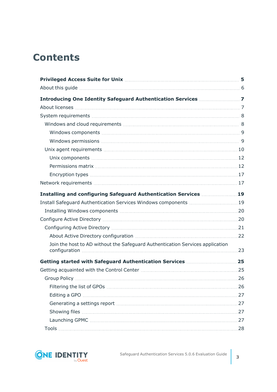# **Contents**

| Installing and configuring Safeguard Authentication Services 19               |  |
|-------------------------------------------------------------------------------|--|
| Install Safeguard Authentication Services Windows components  19              |  |
|                                                                               |  |
|                                                                               |  |
|                                                                               |  |
|                                                                               |  |
| Join the host to AD without the Safeguard Authentication Services application |  |
| Getting started with Safeguard Authentication Services 25                     |  |
|                                                                               |  |
|                                                                               |  |
|                                                                               |  |
|                                                                               |  |
|                                                                               |  |
|                                                                               |  |
|                                                                               |  |
|                                                                               |  |

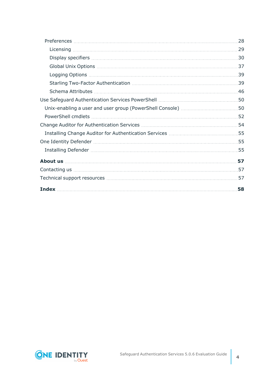| Technical support resources ……………………………………………………………………………57 |  |
|-------------------------------------------------------------|--|
|                                                             |  |

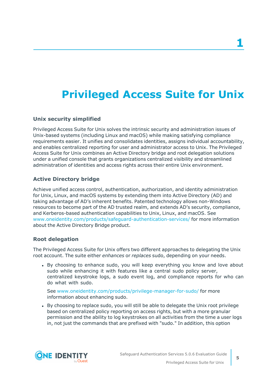# <span id="page-4-0"></span>**Privileged Access Suite for Unix**

#### **Unix security simplified**

Privileged Access Suite for Unix solves the intrinsic security and administration issues of Unix-based systems (including Linux and macOS) while making satisfying compliance requirements easier. It unifies and consolidates identities, assigns individual accountability, and enables centralized reporting for user and administrator access to Unix. The Privileged Access Suite for Unix combines an Active Directory bridge and root delegation solutions under a unified console that grants organizations centralized visibility and streamlined administration of identities and access rights across their entire Unix environment.

#### **Active Directory bridge**

Achieve unified access control, authentication, authorization, and identity administration for Unix, Linux, and macOS systems by extending them into Active Directory (AD) and taking advantage of AD's inherent benefits. Patented technology allows non-Windows resources to become part of the AD trusted realm, and extends AD's security, compliance, and Kerberos-based authentication capabilities to Unix, Linux, and macOS. See [www.oneidentity.com/products/safeguard-authentication-services/](https://www.oneidentity.com/products/safeguard-authentication-services/) for more information about the Active Directory Bridge product.

#### **Root delegation**

The Privileged Access Suite for Unix offers two different approaches to delegating the Unix root account. The suite either *enhances* or *replaces* sudo, depending on your needs.

• By choosing to enhance sudo, you will keep everything you know and love about sudo while enhancing it with features like a central sudo policy server, centralized keystroke logs, a sudo event log, and compliance reports for who can do what with sudo.

See [www.oneidentity.com/products/privilege-manager-for-sudo/](https://www.oneidentity.com/products/privilege-manager-for-sudo/) for more information about enhancing sudo.

• By choosing to replace sudo, you will still be able to delegate the Unix root privilege based on centralized policy reporting on access rights, but with a more granular permission and the ability to log keystrokes on all activities from the time a user logs in, not just the commands that are prefixed with "sudo." In addition, this option

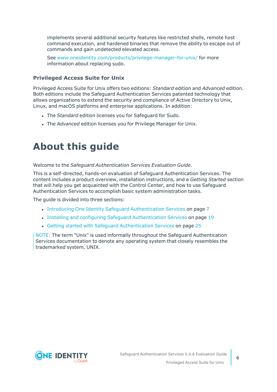implements several additional security features like restricted shells, remote host command execution, and hardened binaries that remove the ability to escape out of commands and gain undetected elevated access.

See [www.oneidentity.com/products/privilege-manager-for-unix/](https://www.oneidentity.com/products/privilege-manager-for-unix/) for more information about replacing sudo.

#### **Privileged Access Suite for Unix**

Privileged Access Suite for Unix offers two editions: *Standard* edition and *Advanced* edition. Both editions include the Safeguard Authentication Services patented technology that allows organizations to extend the security and compliance of Active Directory to Unix, Linux, and macOS platforms and enterprise applications. In addition:

- **.** The *Standard* edition licenses you for Safeguard for Sudo.
- **.** The *Advanced* edition licenses you for Privilege Manager for Unix.

# <span id="page-5-0"></span>**About this guide**

Welcome to the *Safeguard Authentication Services Evaluation Guide*.

This is a self-directed, hands-on evaluation of Safeguard Authentication Services. The content includes a product overview, installation instructions, and a *Getting Started* section that will help you get acquainted with the Control Center, and how to use Safeguard Authentication Services to accomplish basic system administration tasks.

The guide is divided into three sections:

- Introducing One Identity Safeguard [Authentication](#page-6-0) Services on page 7
- Installing and configuring Safeguard [Authentication](#page-18-0) Services on page 19
- Getting started with Safeguard [Authentication](#page-24-0) Services on page 25

NOTE: The term "Unix" is used informally throughout the Safeguard Authentication Services documentation to denote any operating system that closely resembles the trademarked system, UNIX.

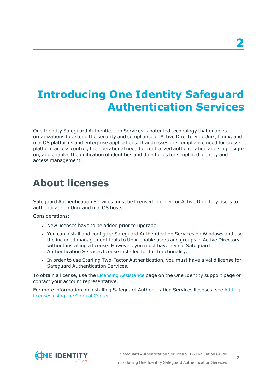# <span id="page-6-0"></span>**Introducing One Identity Safeguard Authentication Services**

One Identity Safeguard Authentication Services is patented technology that enables organizations to extend the security and compliance of Active Directory to Unix, Linux, and macOS platforms and enterprise applications. It addresses the compliance need for crossplatform access control, the operational need for centralized authentication and single signon, and enables the unification of identities and directories for simplified identity and access management.

# <span id="page-6-1"></span>**About licenses**

Safeguard Authentication Services must be licensed in order for Active Directory users to authenticate on Unix and macOS hosts.

Considerations:

- New licenses have to be added prior to upgrade.
- You can install and configure Safeguard Authentication Services on Windows and use the included management tools to Unix-enable users and groups in Active Directory without installing a license. However, you must have a valid Safeguard Authentication Services license installed for full functionality.
- In order to use Starling Two-Factor Authentication, you must have a valid license for Safeguard Authentication Services.

To obtain a license, use the Licensing [Assistance](https://support.oneidentity.com/contact-us/licensing) page on the One Identity support page or contact your account representative.

For more information on installing Safeguard Authentication Services licenses, see [Adding](#page-28-1) [licenses](#page-28-1) using the Control Center.

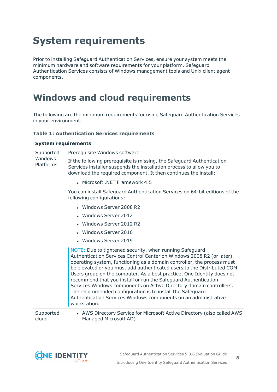# <span id="page-7-0"></span>**System requirements**

Prior to installing Safeguard Authentication Services, ensure your system meets the minimum hardware and software requirements for your platform. Safeguard Authentication Services consists of Windows management tools and Unix client agent components.

# <span id="page-7-1"></span>**Windows and cloud requirements**

The following are the minimum requirements for using Safeguard Authentication Services in your environment.

#### **Table 1: Authentication Services requirements**

| <b>System requirements</b>        |                                                                                                                                                                                                                                                                                                                                                                                                                                                                                                                                                                                                                                                        |  |
|-----------------------------------|--------------------------------------------------------------------------------------------------------------------------------------------------------------------------------------------------------------------------------------------------------------------------------------------------------------------------------------------------------------------------------------------------------------------------------------------------------------------------------------------------------------------------------------------------------------------------------------------------------------------------------------------------------|--|
| Supported<br>Windows<br>Platforms | Prerequisite Windows software                                                                                                                                                                                                                                                                                                                                                                                                                                                                                                                                                                                                                          |  |
|                                   | If the following prerequisite is missing, the Safeguard Authentication<br>Services installer suspends the installation process to allow you to<br>download the required component. It then continues the install:                                                                                                                                                                                                                                                                                                                                                                                                                                      |  |
|                                   | • Microsoft .NET Framework 4.5                                                                                                                                                                                                                                                                                                                                                                                                                                                                                                                                                                                                                         |  |
|                                   | You can install Safeguard Authentication Services on 64-bit editions of the<br>following configurations:                                                                                                                                                                                                                                                                                                                                                                                                                                                                                                                                               |  |
|                                   | • Windows Server 2008 R2                                                                                                                                                                                                                                                                                                                                                                                                                                                                                                                                                                                                                               |  |
|                                   | • Windows Server 2012                                                                                                                                                                                                                                                                                                                                                                                                                                                                                                                                                                                                                                  |  |
|                                   | • Windows Server 2012 R2                                                                                                                                                                                                                                                                                                                                                                                                                                                                                                                                                                                                                               |  |
|                                   | • Windows Server 2016                                                                                                                                                                                                                                                                                                                                                                                                                                                                                                                                                                                                                                  |  |
|                                   | • Windows Server 2019                                                                                                                                                                                                                                                                                                                                                                                                                                                                                                                                                                                                                                  |  |
|                                   | NOTE: Due to tightened security, when running Safeguard<br>Authentication Services Control Center on Windows 2008 R2 (or later)<br>operating system, functioning as a domain controller, the process must<br>be elevated or you must add authenticated users to the Distributed COM<br>Users group on the computer. As a best practice, One Identity does not<br>recommend that you install or run the Safeguard Authentication<br>Services Windows components on Active Directory domain controllers.<br>The recommended configuration is to install the Safeguard<br>Authentication Services Windows components on an administrative<br>workstation. |  |
| Supported<br>cloud                | • AWS Directory Service for Microsoft Active Directory (also called AWS<br>Managed Microsoft AD)                                                                                                                                                                                                                                                                                                                                                                                                                                                                                                                                                       |  |



**8**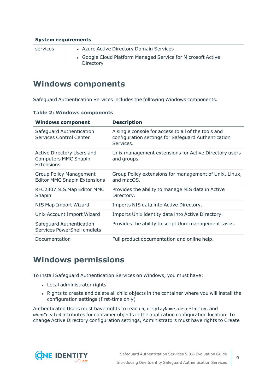#### **System requirements**

- services **and Azure Active Directory Domain Services** 
	- Google Cloud Platform Managed Service for Microsoft Active Directory

### <span id="page-8-0"></span>**Windows components**

Safeguard Authentication Services includes the following Windows components.

|  | <b>Table 2: Windows components</b> |  |
|--|------------------------------------|--|
|  |                                    |  |

| <b>Windows component</b>                                                       | <b>Description</b>                                                                                                      |
|--------------------------------------------------------------------------------|-------------------------------------------------------------------------------------------------------------------------|
| Safeguard Authentication<br><b>Services Control Center</b>                     | A single console for access to all of the tools and<br>configuration settings for Safeguard Authentication<br>Services. |
| <b>Active Directory Users and</b><br><b>Computers MMC Snapin</b><br>Extensions | Unix management extensions for Active Directory users<br>and groups.                                                    |
| Group Policy Management<br><b>Editor MMC Snapin Extensions</b>                 | Group Policy extensions for management of Unix, Linux,<br>and macOS.                                                    |
| RFC2307 NIS Map Editor MMC<br>Snapin                                           | Provides the ability to manage NIS data in Active<br>Directory.                                                         |
| NIS Map Import Wizard                                                          | Imports NIS data into Active Directory.                                                                                 |
| Unix Account Import Wizard                                                     | Imports Unix identity data into Active Directory.                                                                       |
| Safeguard Authentication<br>Services PowerShell cmdlets                        | Provides the ability to script Unix management tasks.                                                                   |
| Documentation                                                                  | Full product documentation and online help.                                                                             |

## <span id="page-8-1"></span>**Windows permissions**

To install Safeguard Authentication Services on Windows, you must have:

- Local administrator rights
- Rights to create and delete all child objects in the container where you will install the configuration settings (first-time only)

Authenticated Users must have rights to read cn, displayName, description, and whenCreated attributes for container objects in the application configuration location. To change Active Directory configuration settings, Administrators must have rights to Create

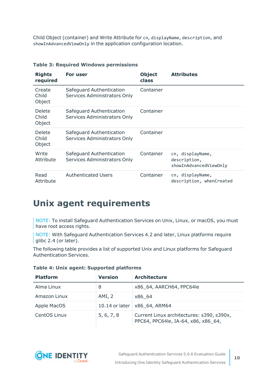Child Object (container) and Write Attribute for cn, displayName, description, and showInAdvancedViewOnly in the application configuration location.

| <b>Rights</b><br>required | For user                                                 | <b>Object</b><br>class | <b>Attributes</b>                                          |
|---------------------------|----------------------------------------------------------|------------------------|------------------------------------------------------------|
| Create<br>Child<br>Object | Safeguard Authentication<br>Services Administrators Only | Container              |                                                            |
| Delete<br>Child<br>Object | Safeguard Authentication<br>Services Administrators Only | Container              |                                                            |
| Delete<br>Child<br>Object | Safeguard Authentication<br>Services Administrators Only | Container              |                                                            |
| Write<br>Attribute        | Safeguard Authentication<br>Services Administrators Only | Container              | cn, displayName,<br>description,<br>showInAdvancedViewOnly |
| Read<br>Attribute         | <b>Authenticated Users</b>                               | Container              | cn, displayName,<br>description, whenCreated               |

#### **Table 3: Required Windows permissions**

## <span id="page-9-0"></span>**Unix agent requirements**

NOTE: To install Safeguard Authentication Services on Unix, Linux, or macOS, you must have root access rights.

NOTE: With Safeguard Authentication Services 4.2 and later, Linux platforms require glibc 2.4 (or later).

The following table provides a list of supported Unix and Linux platforms for Safeguard Authentication Services.

| <b>Platform</b> | <b>Version</b> | <b>Architecture</b>                                                              |  |
|-----------------|----------------|----------------------------------------------------------------------------------|--|
| Alma Linux      | 8              | x86 64, AARCH64, PPC64le                                                         |  |
| Amazon Linux    | AMI, 2         | x86 64                                                                           |  |
| Apple MacOS     | 10.14 or later | X86 64, ARM64                                                                    |  |
| CentOS Linux    | 5, 6, 7, 8     | Current Linux architectures: s390, s390x,<br>PPC64, PPC64le, IA-64, x86, x86 64, |  |

#### **Table 4: Unix agent: Supported platforms**

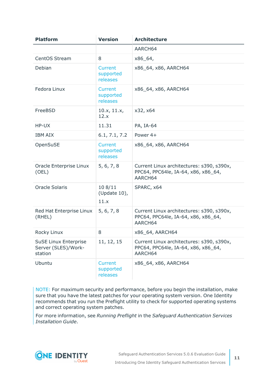| <b>Platform</b>                                                | <b>Version</b>                          | <b>Architecture</b>                                                                         |
|----------------------------------------------------------------|-----------------------------------------|---------------------------------------------------------------------------------------------|
|                                                                |                                         | AARCH64                                                                                     |
| CentOS Stream                                                  | 8                                       | $x86_64,$                                                                                   |
| Debian                                                         | <b>Current</b><br>supported<br>releases | x86_64, x86, AARCH64                                                                        |
| Fedora Linux                                                   | Current<br>supported<br>releases        | x86_64, x86, AARCH64                                                                        |
| FreeBSD                                                        | 10.x, 11.x,<br>12.x                     | x32, x64                                                                                    |
| HP-UX                                                          | 11.31                                   | PA, IA-64                                                                                   |
| <b>IBM AIX</b>                                                 | 6.1, 7.1, 7.2                           | Power 4+                                                                                    |
| OpenSuSE                                                       | <b>Current</b><br>supported<br>releases | x86_64, x86, AARCH64                                                                        |
| Oracle Enterprise Linux<br>(OEL)                               | 5, 6, 7, 8                              | Current Linux architectures: s390, s390x,<br>PPC64, PPC64le, IA-64, x86, x86_64,<br>AARCH64 |
| <b>Oracle Solaris</b>                                          | 108/11<br>(Update 10),<br>11.x          | SPARC, x64                                                                                  |
| Red Hat Enterprise Linux<br>(RHEL)                             | 5, 6, 7, 8                              | Current Linux architectures: s390, s390x,<br>PPC64, PPC64le, IA-64, x86, x86_64,<br>AARCH64 |
| Rocky Linux                                                    | 8                                       | x86_64, AARCH64                                                                             |
| <b>SuSE Linux Enterprise</b><br>Server (SLES)/Work-<br>station | 11, 12, 15                              | Current Linux architectures: s390, s390x,<br>PPC64, PPC64le, IA-64, x86, x86_64,<br>AARCH64 |
| Ubuntu                                                         | <b>Current</b><br>supported<br>releases | x86_64, x86, AARCH64                                                                        |

NOTE: For maximum security and performance, before you begin the installation, make sure that you have the latest patches for your operating system version. One Identity recommends that you run the Preflight utility to check for supported operating systems and correct operating system patches.

For more information, see *Running Preflight* in the *Safeguard Authentication Services Installation Guide*.

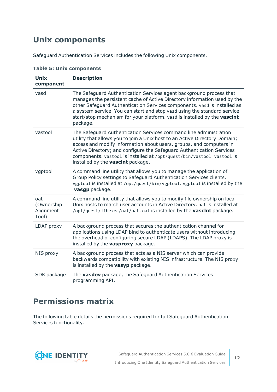## <span id="page-11-0"></span>**Unix components**

Safeguard Authentication Services includes the following Unix components.

| <b>Unix</b><br>component                | <b>Description</b>                                                                                                                                                                                                                                                                                                                                                                                                    |
|-----------------------------------------|-----------------------------------------------------------------------------------------------------------------------------------------------------------------------------------------------------------------------------------------------------------------------------------------------------------------------------------------------------------------------------------------------------------------------|
| vasd                                    | The Safeguard Authentication Services agent background process that<br>manages the persistent cache of Active Directory information used by the<br>other Safeguard Authentication Services components. vasd is installed as<br>a system service. You can start and stop vasd using the standard service<br>start/stop mechanism for your platform. vasd is installed by the vascint<br>package.                       |
| vastool                                 | The Safeguard Authentication Services command line administration<br>utility that allows you to join a Unix host to an Active Directory Domain;<br>access and modify information about users, groups, and computers in<br>Active Directory; and configure the Safeguard Authentication Services<br>components. vastool is installed at /opt/quest/bin/vastool. vastool is<br>installed by the <b>vascint</b> package. |
| vgptool                                 | A command line utility that allows you to manage the application of<br>Group Policy settings to Safeguard Authentication Services clients.<br>vgptool is installed at /opt/quest/bin/vgptool. vgptool is installed by the<br>vasgp package.                                                                                                                                                                           |
| oat<br>(Ownership<br>Alignment<br>Tool) | A command line utility that allows you to modify file ownership on local<br>Unix hosts to match user accounts in Active Directory. oat is installed at<br>/opt/quest/libexec/oat/oat. oat is installed by the vascint package.                                                                                                                                                                                        |
| LDAP proxy                              | A background process that secures the authentication channel for<br>applications using LDAP bind to authenticate users without introducing<br>the overhead of configuring secure LDAP (LDAPS). The LDAP proxy is<br>installed by the vasproxy package.                                                                                                                                                                |
| NIS proxy                               | A background process that acts as a NIS server which can provide<br>backwards compatibility with existing NIS infrastructure. The NIS proxy<br>is installed by the vasyp package.                                                                                                                                                                                                                                     |
| SDK package                             | The <b>vasdev</b> package, the Safeguard Authentication Services<br>programming API.                                                                                                                                                                                                                                                                                                                                  |

**Table 5: Unix components**

## <span id="page-11-1"></span>**Permissions matrix**

The following table details the permissions required for full Safeguard Authentication Services functionality.

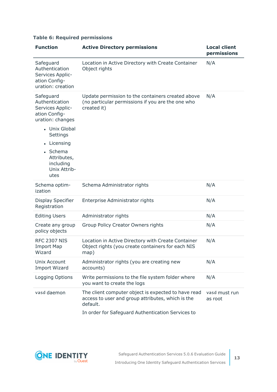#### **Table 6: Required permissions**

| <b>Function</b>                                                                                                   | <b>Active Directory permissions</b>                                                                                                                                       | <b>Local client</b><br>permissions |
|-------------------------------------------------------------------------------------------------------------------|---------------------------------------------------------------------------------------------------------------------------------------------------------------------------|------------------------------------|
| Safeguard<br>Authentication<br>Services Applic-<br>ation Config-<br>uration: creation                             | Location in Active Directory with Create Container<br>Object rights                                                                                                       | N/A                                |
| Safeguard<br>Authentication<br>Services Applic-<br>ation Config-<br>uration: changes<br>• Unix Global<br>Settings | Update permission to the containers created above<br>(no particular permissions if you are the one who<br>created it)                                                     | N/A                                |
| Licensing<br>$\bullet$<br>Schema<br>Attributes,<br>including<br>Unix Attrib-<br>utes                              |                                                                                                                                                                           |                                    |
| Schema optim-<br>ization                                                                                          | Schema Administrator rights                                                                                                                                               | N/A                                |
| Display Specifier<br>Registration                                                                                 | Enterprise Administrator rights                                                                                                                                           | N/A                                |
| <b>Editing Users</b>                                                                                              | Administrator rights                                                                                                                                                      | N/A                                |
| Create any group<br>policy objects                                                                                | <b>Group Policy Creator Owners rights</b>                                                                                                                                 | N/A                                |
| <b>RFC 2307 NIS</b><br><b>Import Map</b><br>Wizard                                                                | Location in Active Directory with Create Container<br>Object rights (you create containers for each NIS<br>map)                                                           | N/A                                |
| Unix Account<br><b>Import Wizard</b>                                                                              | Administrator rights (you are creating new<br>accounts)                                                                                                                   | N/A                                |
| Logging Options                                                                                                   | Write permissions to the file system folder where<br>you want to create the logs                                                                                          | N/A                                |
| vasd daemon                                                                                                       | The client computer object is expected to have read<br>access to user and group attributes, which is the<br>default.<br>In order for Safeguard Authentication Services to | vasd must run<br>as root           |

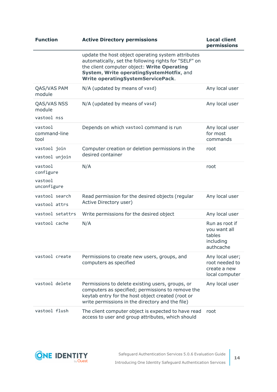| <b>Function</b>                                | <b>Active Directory permissions</b>                                                                                                                                                                                                                | <b>Local client</b><br>permissions                                  |
|------------------------------------------------|----------------------------------------------------------------------------------------------------------------------------------------------------------------------------------------------------------------------------------------------------|---------------------------------------------------------------------|
|                                                | update the host object operating system attributes<br>automatically, set the following rights for "SELF" on<br>the client computer object: Write Operating<br>System, Write operatingSystemHotfix, and<br><b>Write operatingSystemServicePack.</b> |                                                                     |
| QAS/VAS PAM<br>module                          | N/A (updated by means of vasd)                                                                                                                                                                                                                     | Any local user                                                      |
| QAS/VAS NSS<br>module                          | N/A (updated by means of vasd)                                                                                                                                                                                                                     | Any local user                                                      |
| vastool nss                                    |                                                                                                                                                                                                                                                    |                                                                     |
| vastool<br>command-line<br>tool                | Depends on which vastool command is run                                                                                                                                                                                                            | Any local user<br>for most<br>commands                              |
| vastool join<br>vastool unjoin                 | Computer creation or deletion permissions in the<br>desired container                                                                                                                                                                              | root                                                                |
| vastool<br>configure<br>vastool<br>unconfigure | N/A                                                                                                                                                                                                                                                | root                                                                |
| vastool search<br>vastool attrs                | Read permission for the desired objects (regular<br>Active Directory user)                                                                                                                                                                         | Any local user                                                      |
| vastool setattrs                               | Write permissions for the desired object                                                                                                                                                                                                           | Any local user                                                      |
| vastool cache                                  | N/A                                                                                                                                                                                                                                                | Run as root if<br>you want all<br>tables<br>including<br>authcache  |
| vastool create                                 | Permissions to create new users, groups, and<br>computers as specified                                                                                                                                                                             | Any local user;<br>root needed to<br>create a new<br>local computer |
| vastool delete                                 | Permissions to delete existing users, groups, or<br>computers as specified; permissions to remove the<br>keytab entry for the host object created (root or<br>write permissions in the directory and the file)                                     | Any local user                                                      |
| vastool flush                                  | The client computer object is expected to have read<br>access to user and group attributes, which should                                                                                                                                           | root                                                                |

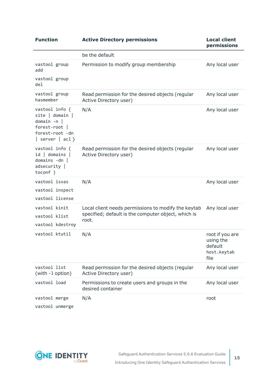| <b>Function</b>                                                                                                         | <b>Active Directory permissions</b>                                                                                 | <b>Local client</b><br>permissions                             |
|-------------------------------------------------------------------------------------------------------------------------|---------------------------------------------------------------------------------------------------------------------|----------------------------------------------------------------|
|                                                                                                                         | be the default                                                                                                      |                                                                |
| vastool group<br>add<br>vastool group<br>de <sub>1</sub>                                                                | Permission to modify group membership                                                                               | Any local user                                                 |
| vastool group<br>hasmember                                                                                              | Read permission for the desired objects (regular<br>Active Directory user)                                          | Any local user                                                 |
| vastool info {<br>$site$   domain  <br>$domain - n$<br>forest-root  <br>forest-root -dn<br>$ $ server $ $ acl $\rbrace$ | N/A                                                                                                                 | Any local user                                                 |
| vastool info {<br>$id$   domains  <br>$domains -dn$<br>adsecurity<br>toconf }                                           | Read permission for the desired objects (regular<br>Active Directory user)                                          | Any local user                                                 |
| vastool isvas<br>vastool inspect<br>vastool license                                                                     | N/A                                                                                                                 | Any local user                                                 |
| vastool kinit<br>vastool klist<br>vastool kdestroy                                                                      | Local client needs permissions to modify the keytab<br>specified; default is the computer object, which is<br>root. | Any local user                                                 |
| vastool ktutil                                                                                                          | N/A                                                                                                                 | root if you are<br>using the<br>default<br>host.keytab<br>file |
| vastool list<br>(with -1 option)                                                                                        | Read permission for the desired objects (regular<br>Active Directory user)                                          | Any local user                                                 |
| vastool load                                                                                                            | Permissions to create users and groups in the<br>desired container                                                  | Any local user                                                 |
| vastool merge<br>vastool unmerge                                                                                        | N/A                                                                                                                 | root                                                           |

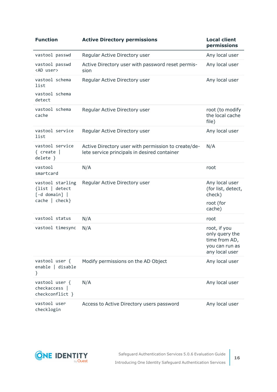| <b>Function</b>                                             | <b>Active Directory permissions</b>                                                                 | <b>Local client</b><br>permissions                                                  |
|-------------------------------------------------------------|-----------------------------------------------------------------------------------------------------|-------------------------------------------------------------------------------------|
| vastool passwd                                              | Regular Active Directory user                                                                       | Any local user                                                                      |
| vastool passwd<br><ad user=""></ad>                         | Active Directory user with password reset permis-<br>sion                                           | Any local user                                                                      |
| vastool schema<br>list<br>vastool schema                    | Regular Active Directory user                                                                       | Any local user                                                                      |
| detect                                                      |                                                                                                     |                                                                                     |
| vastool schema<br>cache                                     | Regular Active Directory user                                                                       | root (to modify<br>the local cache<br>file)                                         |
| vastool service<br>list                                     | Regular Active Directory user                                                                       | Any local user                                                                      |
| vastool service<br>{ $create$  <br>$delete \}$              | Active Directory user with permission to create/de-<br>lete service principals in desired container | N/A                                                                                 |
| vastool<br>smartcard                                        | N/A                                                                                                 | root                                                                                |
| vastool starling<br>{list   detect<br>$[-d \text{ domain}]$ | Regular Active Directory user                                                                       | Any local user<br>(for list, detect,<br>check)                                      |
| cache   check                                               |                                                                                                     | root (for<br>cache)                                                                 |
| vastool status                                              | N/A                                                                                                 | root                                                                                |
| vastool timesync                                            | N/A                                                                                                 | root, if you<br>only query the<br>time from AD,<br>you can run as<br>any local user |
| vastool user {<br>enable   disable<br>}                     | Modify permissions on the AD Object                                                                 | Any local user                                                                      |
| vastool user {<br>checkaccess  <br>checkconflict }          | N/A                                                                                                 | Any local user                                                                      |
| vastool user<br>checklogin                                  | Access to Active Directory users password                                                           | Any local user                                                                      |

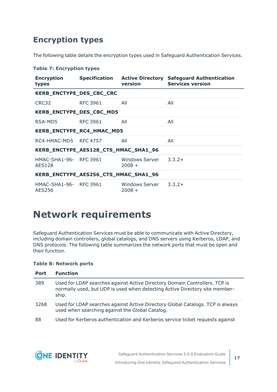## <span id="page-16-0"></span>**Encryption types**

The following table details the encryption types used in Safeguard Authentication Services.

|  |  | <b>Table 7: Encryption types</b> |  |
|--|--|----------------------------------|--|
|--|--|----------------------------------|--|

| <b>Encryption</b><br>types              |          | <b>version</b>                    | Specification Active Directory Safeguard Authentication<br><b>Services version</b> |
|-----------------------------------------|----------|-----------------------------------|------------------------------------------------------------------------------------|
| KERB_ENCTYPE_DES_CBC_CRC                |          |                                   |                                                                                    |
| CRC32                                   | RFC 3961 | All                               | All                                                                                |
| KERB_ENCTYPE_DES_CBC_MD5                |          |                                   |                                                                                    |
| RSA-MD5                                 | RFC 3961 | All                               | All                                                                                |
| KERB_ENCTYPE_RC4_HMAC_MD5               |          |                                   |                                                                                    |
| RC4-HMAC-MD5 RFC 4757                   |          | All                               | All                                                                                |
| KERB_ENCTYPE_AES128_CTS_HMAC_SHA1_96    |          |                                   |                                                                                    |
| HMAC-SHA1-96- RFC 3961<br><b>AES128</b> |          | Windows Server 3.3.2+<br>$2008 +$ |                                                                                    |
| KERB_ENCTYPE_AES256_CTS_HMAC_SHA1_96    |          |                                   |                                                                                    |
| HMAC-SHA1-96- RFC 3961<br>AES256        |          | Windows Server 3.3.2+<br>$2008 +$ |                                                                                    |

# <span id="page-16-1"></span>**Network requirements**

Safeguard Authentication Services must be able to communicate with Active Directory, including domain controllers, global catalogs, and DNS servers using Kerberos, LDAP, and DNS protocols. The following table summarizes the network ports that must be open and their function.

#### **Table 8: Network ports**

| <b>Port</b> | <b>Function</b>                                                                                                                                                    |
|-------------|--------------------------------------------------------------------------------------------------------------------------------------------------------------------|
| 389         | Used for LDAP searches against Active Directory Domain Controllers. TCP is<br>normally used, but UDP is used when detecting Active Directory site member-<br>ship. |
| 3268        | Used for LDAP searches against Active Directory Global Catalogs. TCP is always<br>used when searching against the Global Catalog.                                  |
| 88          | Used for Kerberos authentication and Kerberos service ticket requests against                                                                                      |

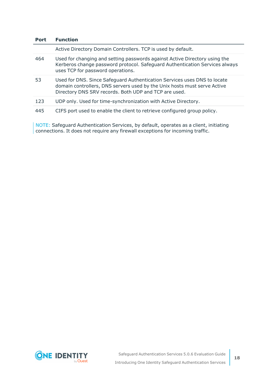| <b>Port</b> | <b>Function</b>                                                                                                                                                                                               |
|-------------|---------------------------------------------------------------------------------------------------------------------------------------------------------------------------------------------------------------|
|             | Active Directory Domain Controllers. TCP is used by default.                                                                                                                                                  |
| 464         | Used for changing and setting passwords against Active Directory using the<br>Kerberos change password protocol. Safeguard Authentication Services always<br>uses TCP for password operations.                |
| 53          | Used for DNS. Since Safeguard Authentication Services uses DNS to locate<br>domain controllers, DNS servers used by the Unix hosts must serve Active<br>Directory DNS SRV records. Both UDP and TCP are used. |
| 123         | UDP only. Used for time-synchronization with Active Directory.                                                                                                                                                |
| 445         | CIFS port used to enable the client to retrieve configured group policy.                                                                                                                                      |

NOTE: Safeguard Authentication Services, by default, operates as a client, initiating connections. It does not require any firewall exceptions for incoming traffic.

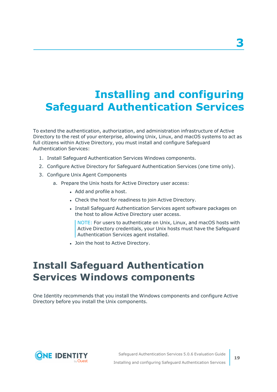# <span id="page-18-0"></span>**Installing and configuring Safeguard Authentication Services**

To extend the authentication, authorization, and administration infrastructure of Active Directory to the rest of your enterprise, allowing Unix, Linux, and macOS systems to act as full citizens within Active Directory, you must install and configure Safeguard Authentication Services:

- 1. Install Safeguard Authentication Services Windows components.
- 2. Configure Active Directory for Safeguard Authentication Services (one time only).
- 3. Configure Unix Agent Components
	- a. Prepare the Unix hosts for Active Directory user access:
		- Add and profile a host.
		- Check the host for readiness to join Active Directory.
		- Install Safeguard Authentication Services agent software packages on the host to allow Active Directory user access.

NOTE: For users to authenticate on Unix, Linux, and macOS hosts with Active Directory credentials, your Unix hosts must have the Safeguard Authentication Services agent installed.

• Join the host to Active Directory.

# <span id="page-18-1"></span>**Install Safeguard Authentication Services Windows components**

One Identity recommends that you install the Windows components and configure Active Directory before you install the Unix components.

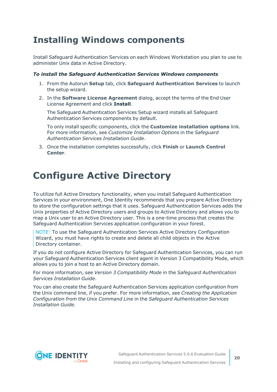# <span id="page-19-0"></span>**Installing Windows components**

Install Safeguard Authentication Services on each Windows Workstation you plan to use to administer Unix data in Active Directory.

#### *To install the Safeguard Authentication Services Windows components*

- 1. From the Autorun **Setup** tab, click **Safeguard Authentication Services** to launch the setup wizard.
- 2. In the **Software License Agreement** dialog, accept the terms of the End User License Agreement and click **Install**.

The Safeguard Authentication Services Setup wizard installs all Safeguard Authentication Services components by default.

To only install specific components, click the **Customize installation options** link. For more information, see *Customize Installation Options* in the *Safeguard Authentication Services Installation Guide*.

3. Once the installation completes successfully, click **Finish** or **Launch Control Center**.

# <span id="page-19-1"></span>**Configure Active Directory**

To utilize full Active Directory functionality, when you install Safeguard Authentication Services in your environment, One Identity recommends that you prepare Active Directory to store the configuration settings that it uses. Safeguard Authentication Services adds the Unix properties of Active Directory users and groups to Active Directory and allows you to map a Unix user to an Active Directory user. This is a one-time process that creates the Safeguard Authentication Services application configuration in your forest.

NOTE: To use the Safeguard Authentication Services Active Directory Configuration Wizard, you must have rights to create and delete all child objects in the Active Directory container.

If you do not configure Active Directory for Safeguard Authentication Services, you can run your Safeguard Authentication Services client agent in Version 3 Compatibility Mode, which allows you to join a host to an Active Directory domain.

For more information, see *Version 3 Compatibility Mode* in the *Safeguard Authentication Services Installation Guide*.

You can also create the Safeguard Authentication Services application configuration from the Unix command line, if you prefer. For more information, see *Creating the Application Configuration from the Unix Command Line* in the *Safeguard Authentication Services Installation Guide*.

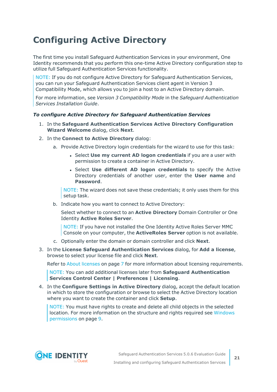# <span id="page-20-0"></span>**Configuring Active Directory**

The first time you install Safeguard Authentication Services in your environment, One Identity recommends that you perform this one-time Active Directory configuration step to utilize full Safeguard Authentication Services functionality.

NOTE: If you do not configure Active Directory for Safeguard Authentication Services, you can run your Safeguard Authentication Services client agent in Version 3 Compatibility Mode, which allows you to join a host to an Active Directory domain.

For more information, see *Version 3 Compatibility Mode* in the *Safeguard Authentication Services Installation Guide*.

#### *To configure Active Directory for Safeguard Authentication Services*

- 1. In the **Safeguard Authentication Services Active Directory Configuration Wizard Welcome** dialog, click **Next**.
- 2. In the **Connect to Active Directory** dialog:
	- a. Provide Active Directory login credentials for the wizard to use for this task:
		- <sup>l</sup> Select **Use my current AD logon credentials** if you are a user with permission to create a container in Active Directory.
		- <sup>l</sup> Select **Use different AD logon credentials** to specify the Active Directory credentials of another user, enter the **User name** and **Password**.

NOTE: The wizard does not save these credentials; it only uses them for this setup task.

b. Indicate how you want to connect to Active Directory:

Select whether to connect to an **Active Directory** Domain Controller or One Identity **Active Roles Server**.

NOTE: If you have not installed the One Identity Active Roles Server MMC Console on your computer, the **ActiveRoles Server** option is not available.

- c. Optionally enter the domain or domain controller and click **Next**.
- 3. In the **License Safeguard Authentication Services** dialog, for **Add a license**, browse to select your license file and click **Next**.

Refer to About licenses on page 7 for more information about licensing requirements.

NOTE: You can add additional licenses later from **Safeguard Authentication Services Control Center | Preferences | Licensing**.

4. In the **Configure Settings in Active Directory** dialog, accept the default location in which to store the configuration or browse to select the Active Directory location where you want to create the container and click **Setup**.

NOTE: You must have rights to create and delete all child objects in the selected location. For more information on the structure and rights required see [Windows](#page-8-1) [permissions](#page-8-1) on page 9.

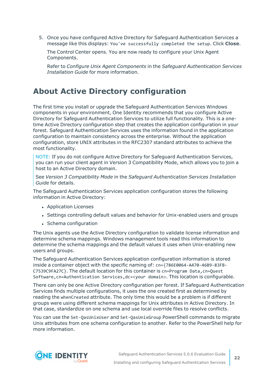5. Once you have configured Active Directory for Safeguard Authentication Services a message like this displays: You've successfully completed the setup. Click **Close**.

The Control Center opens. You are now ready to configure your Unix Agent Components.

Refer to *Configure Unix Agent Components* in the *Safeguard Authentication Services Installation Guide* for more information.

## <span id="page-21-0"></span>**About Active Directory configuration**

The first time you install or upgrade the Safeguard Authentication Services Windows components in your environment, One Identity recommends that you configure Active Directory for Safeguard Authentication Services to utilize full functionality. This is a onetime Active Directory configuration step that creates the application configuration in your forest. Safeguard Authentication Services uses the information found in the application configuration to maintain consistency across the enterprise. Without the application configuration, store UNIX attributes in the RFC2307 standard attributes to achieve the most functionality.

NOTE: If you do not configure Active Directory for Safeguard Authentication Services, you can run your client agent in Version 3 Compatibility Mode, which allows you to join a host to an Active Directory domain.

See *Version 3 Compatibility Mode* in the *Safeguard Authentication Services Installation Guide* for details.

The Safeguard Authentication Services application configuration stores the following information in Active Directory:

- Application Licenses
- Settings controlling default values and behavior for Unix-enabled users and groups
- Schema configuration

The Unix agents use the Active Directory configuration to validate license information and determine schema mappings. Windows management tools read this information to determine the schema mappings and the default values it uses when Unix-enabling new users and groups.

The Safeguard Authentication Services application configuration information is stored inside a container object with the specific naming of: cn={786E0064-A470-46B9-83FB-C7539C9FA27C}. The default location for this container is cn=Program Data,cn=Quest Software,cn=Authentication Services,dc=<your domain>. This location is configurable.

There can only be one Active Directory configuration per forest. If Safeguard Authentication Services finds multiple configurations, it uses the one created first as determined by reading the whenCreated attribute. The only time this would be a problem is if different groups were using different schema mappings for Unix attributes in Active Directory. In that case, standardize on one schema and use local override files to resolve conflicts.

You can use the Set-QasUnixUser and Set-QasUnixGroup PowerShell commands to migrate Unix attributes from one schema configuration to another. Refer to the PowerShell help for more information.

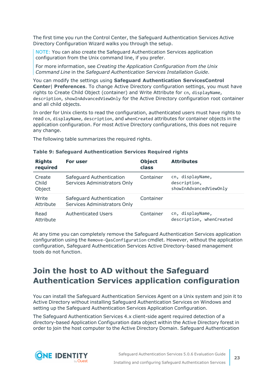The first time you run the Control Center, the Safeguard Authentication Services Active Directory Configuration Wizard walks you through the setup.

NOTE: You can also create the Safeguard Authentication Services application configuration from the Unix command line, if you prefer.

For more information, see *Creating the Application Configuration from the Unix Command Line* in the *Safeguard Authentication Services Installation Guide*.

You can modify the settings using **Safeguard Authentication ServicesControl Center**| **Preferences**. To change Active Directory configuration settings, you must have rights to Create Child Object (container) and Write Attribute for cn, displayName, description, showInAdvancedViewOnly for the Active Directory configuration root container and all child objects.

In order for Unix clients to read the configuration, authenticated users must have rights to read cn, displayName, description, and whenCreated attributes for container objects in the application configuration. For most Active Directory configurations, this does not require any change.

The following table summarizes the required rights.

| <b>Rights</b><br>required | For user                                                 | <b>Object</b><br>class | <b>Attributes</b>                                          |
|---------------------------|----------------------------------------------------------|------------------------|------------------------------------------------------------|
| Create<br>Child<br>Object | Safeguard Authentication<br>Services Administrators Only | Container              | cn, displayName,<br>description,<br>showInAdvancedViewOnly |
| Write<br>Attribute        | Safeguard Authentication<br>Services Administrators Only | Container              |                                                            |
| Read<br>Attribute         | <b>Authenticated Users</b>                               | Container              | cn, displayName,<br>description, whenCreated               |

#### **Table 9: Safeguard Authentication Services Required rights**

At any time you can completely remove the Safeguard Authentication Services application configuration using the Remove-QasConfiguration cmdlet. However, without the application configuration, Safeguard Authentication Services Active Directory-based management tools do not function.

## <span id="page-22-0"></span>**Join the host to AD without the Safeguard Authentication Services application configuration**

You can install the Safeguard Authentication Services Agent on a Unix system and join it to Active Directory without installing Safeguard Authentication Services on Windows and setting up the Safeguard Authentication Services Application Configuration.

The Safeguard Authentication Services 4.x client-side agent required detection of a directory-based Application Configuration data object within the Active Directory forest in order to join the host computer to the Active Directory Domain. Safeguard Authentication

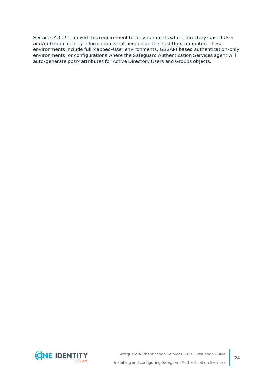Services 4.0.2 removed this requirement for environments where directory-based User and/or Group identity information is not needed on the host Unix computer. These environments include full Mapped-User environments, GSSAPI based authentication-only environments, or configurations where the Safeguard Authentication Services agent will auto-generate posix attributes for Active Directory Users and Groups objects.

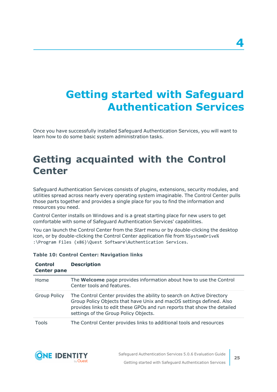# <span id="page-24-0"></span>**Getting started with Safeguard Authentication Services**

Once you have successfully installed Safeguard Authentication Services, you will want to learn how to do some basic system administration tasks.

# <span id="page-24-1"></span>**Getting acquainted with the Control Center**

Safeguard Authentication Services consists of plugins, extensions, security modules, and utilities spread across nearly every operating system imaginable. The Control Center pulls those parts together and provides a single place for you to find the information and resources you need.

Control Center installs on Windows and is a great starting place for new users to get comfortable with some of Safeguard Authentication Services' capabilities.

You can launch the Control Center from the *Start* menu or by double-clicking the desktop icon, or by double-clicking the Control Center application file from %SystemDrive% :\Program Files (x86)\Quest Software\Authentication Services.

| <b>Control</b><br><b>Center pane</b> | <b>Description</b>                                                                                                                                                                                                                                                 |
|--------------------------------------|--------------------------------------------------------------------------------------------------------------------------------------------------------------------------------------------------------------------------------------------------------------------|
| Home                                 | The <b>Welcome</b> page provides information about how to use the Control<br>Center tools and features.                                                                                                                                                            |
| <b>Group Policy</b>                  | The Control Center provides the ability to search on Active Directory<br>Group Policy Objects that have Unix and macOS settings defined. Also<br>provides links to edit these GPOs and run reports that show the detailed<br>settings of the Group Policy Objects. |
| Tools                                | The Control Center provides links to additional tools and resources                                                                                                                                                                                                |

#### **Table 10: Control Center: Navigation links**

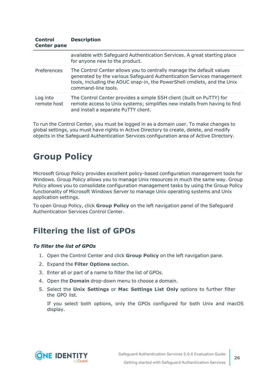#### **Control Center pane Description**

|                         | available with Safeguard Authentication Services. A great starting place<br>for anyone new to the product.                                                                                                                                      |
|-------------------------|-------------------------------------------------------------------------------------------------------------------------------------------------------------------------------------------------------------------------------------------------|
| Preferences             | The Control Center allows you to centrally manage the default values<br>generated by the various Safeguard Authentication Services management<br>tools, including the ADUC snap-in, the PowerShell cmdlets, and the Unix<br>command-line tools. |
| Log into<br>remote host | The Control Center provides a simple SSH client (built on PuTTY) for<br>remote access to Unix systems; simplifies new installs from having to find<br>and install a separate PuTTY client.                                                      |

To run the Control Center, you must be logged in as a domain user. To make changes to global settings, you must have rights in Active Directory to create, delete, and modify objects in the Safeguard Authentication Services configuration area of Active Directory.

# <span id="page-25-0"></span>**Group Policy**

Microsoft Group Policy provides excellent policy-based configuration management tools for Windows. Group Policy allows you to manage Unix resources in much the same way. Group Policy allows you to consolidate configuration management tasks by using the Group Policy functionality of Microsoft Windows Server to manage Unix operating systems and Unix application settings.

To open Group Policy, click **Group Policy** on the left navigation panel of the Safeguard Authentication Services Control Center.

## <span id="page-25-1"></span>**Filtering the list of GPOs**

#### *To filter the list of GPOs*

- 1. Open the Control Center and click **Group Policy** on the left navigation pane.
- 2. Expand the **Filter Options** section.
- 3. Enter all or part of a name to filter the list of GPOs.
- 4. Open the **Domain** drop-down menu to choose a domain.
- 5. Select the **Unix Settings** or **Mac Settings List Only** options to further filter the GPO list.

If you select both options, only the GPOs configured for both Unix and macOS display.

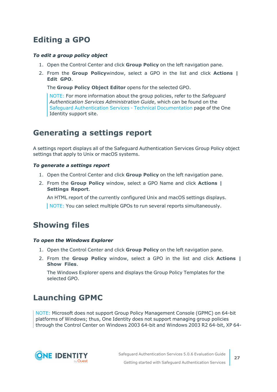## <span id="page-26-0"></span>**Editing a GPO**

#### *To edit a group policy object*

- 1. Open the Control Center and click **Group Policy** on the left navigation pane.
- 2. From the **Group Policy**window, select a GPO in the list and click **Actions | Edit GPO**.

The **Group Policy Object Editor** opens for the selected GPO.

NOTE: For more information about the group policies, refer to the *Safeguard Authentication Services Administration Guide*, which can be found on the Safeguard Authentication Services - Technical [Documentation](https://support.oneidentity.com/authentication-services/technical-documents) page of the One Identity support site.

### <span id="page-26-1"></span>**Generating a settings report**

A settings report displays all of the Safeguard Authentication Services Group Policy object settings that apply to Unix or macOS systems.

#### *To generate a settings report*

- 1. Open the Control Center and click **Group Policy** on the left navigation pane.
- 2. From the **Group Policy** window, select a GPO Name and click **Actions | Settings Report**.

An HTML report of the currently configured Unix and macOS settings displays.

NOTE: You can select multiple GPOs to run several reports simultaneously.

### <span id="page-26-2"></span>**Showing files**

#### *To open the Windows Explorer*

- 1. Open the Control Center and click **Group Policy** on the left navigation pane.
- 2. From the **Group Policy** window, select a GPO in the list and click **Actions | Show Files**.

The Windows Explorer opens and displays the Group Policy Templates for the selected GPO.

### <span id="page-26-3"></span>**Launching GPMC**

NOTE: Microsoft does not support Group Policy Management Console (GPMC) on 64-bit platforms of Windows; thus, One Identity does not support managing group policies through the Control Center on Windows 2003 64-bit and Windows 2003 R2 64-bit, XP 64-

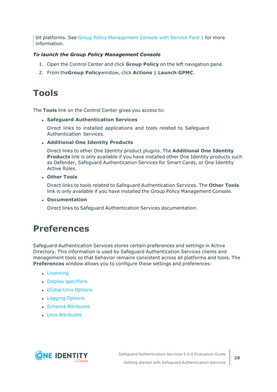bit platforms. See Group Policy [Management](https://www.microsoft.com/en-us/download/details.aspx?id=21895) Console with Service Pack 1 for more information.

#### *To launch the Group Policy Management Console*

- 1. Open the Control Center and click **Group Policy** on the left navigation pane.
- <span id="page-27-0"></span>2. From the**Group Policy**window, click **Actions | Launch GPMC**.

## **Tools**

The **Tools** link on the Control Center gives you access to:

#### <sup>l</sup> **Safeguard Authentication Services**

Direct links to installed applications and tools related to Safeguard Authentication Services.

#### <sup>l</sup> **Additional One Identity Products**

Direct links to other One Identity product plugins. The **Additional One Identity Products** link is only available if you have installed other One Identity products such as Defender, Safeguard Authentication Services for Smart Cards, or One Identity Active Roles.

<sup>l</sup> **Other Tools**

Direct links to tools related to Safeguard Authentication Services. The **Other Tools** link is only available if you have installed the Group Policy Management Console.

<sup>l</sup> **Documentation**

Direct links to Safeguard Authentication Services documentation.

### <span id="page-27-1"></span>**Preferences**

Safeguard Authentication Services stores certain preferences and settings in Active Directory. This information is used by Safeguard Authentication Services clients and management tools so that behavior remains consistent across all platforms and tools. The **Preferences** window allows you to configure these settings and preferences:

- [Licensing](#page-28-0)
- Display [specifiers](#page-29-0)
- **.** Global Unix [Options](#page-36-0)
- [Logging](#page-38-0) Options
- Schema [Attributes](#page-45-0)
- Unix [Attributes](#page-45-1)

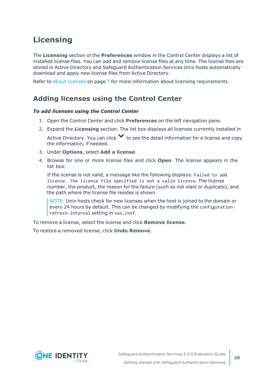## <span id="page-28-0"></span>**Licensing**

The **Licensing** section of the **Preferences** window in the Control Center displays a list of installed license files. You can add and remove license files at any time. The license files are stored in Active Directory and Safeguard Authentication Services Unix hosts automatically download and apply new license files from Active Directory.

<span id="page-28-1"></span>Refer to About licenses on page 7 for more information about licensing requirements.

### **Adding licenses using the Control Center**

#### *To add licenses using the Control Center*

- 1. Open the Control Center and click **Preferences** on the left navigation pane.
- 2. Expand the **Licensing** section. The list box displays all licenses currently installed in

Active Directory. You can click  $\blacktriangledown$  to see the detail information for a license and copy the information, if needed.

- 3. Under **Options**, select **Add a license**.
- 4. Browse for one or more license files and click **Open**. The license appears in the list box.

If the license is not valid, a message like the following displays: Failed to add license. The license file specified is not a valid license. The license number, the product, the reason for the failure (such as not vlaid or duplicate), and the path where the license file resides is shown.

NOTE: Unix hosts check for new licenses when the host is joined to the domain or every 24 hours by default. This can be changed by modifying the configurationrefresh-interval setting in vas.conf.

To remove a license, select the license and click **Remove license**.

To restore a removed license, click **Undo Remove**.

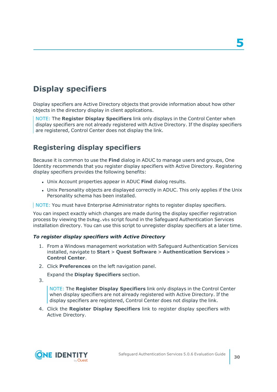# <span id="page-29-0"></span>**Display specifiers**

Display specifiers are Active Directory objects that provide information about how other objects in the directory display in client applications.

NOTE: The **Register Display Specifiers** link only displays in the Control Center when display specifiers are not already registered with Active Directory. If the display specifiers are registered, Control Center does not display the link.

### <span id="page-29-1"></span>**Registering display specifiers**

Because it is common to use the **Find** dialog in ADUC to manage users and groups, One Identity recommends that you register display specifiers with Active Directory. Registering display specifiers provides the following benefits:

- **.** Unix Account properties appear in ADUC Find dialog results.
- Unix Personality objects are displayed correctly in ADUC. This only applies if the Unix Personality schema has been installed.

NOTE: You must have Enterprise Administrator rights to register display specifiers.

You can inspect exactly which changes are made during the display specifier registration process by viewing the DsReg.vbs script found in the Safeguard Authentication Services installation directory. You can use this script to unregister display specifiers at a later time.

#### *To register display specifiers with Active Directory*

- 1. From a Windows management workstation with Safeguard Authentication Services installed, navigate to **Start** > **Quest Software** > **Authentication Services** > **Control Center**.
- 2. Click **Preferences** on the left navigation panel.

Expand the **Display Specifiers** section.

3.

NOTE: The **Register Display Specifiers** link only displays in the Control Center when display specifiers are not already registered with Active Directory. If the display specifiers are registered, Control Center does not display the link.

4. Click the **Register Display Specifiers** link to register display specifiers with Active Directory.

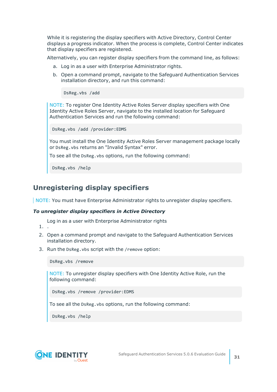While it is registering the display specifiers with Active Directory, Control Center displays a progress indicator. When the process is complete, Control Center indicates that display specifiers are registered.

Alternatively, you can register display specifiers from the command line, as follows:

- a. Log in as a user with Enterprise Administrator rights.
- b. Open a command prompt, navigate to the Safeguard Authentication Services installation directory, and run this command:

DsReg.vbs /add

NOTE: To register One Identity Active Roles Server display specifiers with One Identity Active Roles Server, navigate to the installed location for Safeguard Authentication Services and run the following command:

```
DsReg.vbs /add /provider:EDMS
```
You must install the One Identity Active Roles Server management package locally or DsReg.vbs returns an "Invalid Syntax" error.

To see all the DsReg.vbs options, run the following command:

DsReg.vbs /help

### <span id="page-30-0"></span>**Unregistering display specifiers**

NOTE: You must have Enterprise Administrator rights to unregister display specifiers.

#### *To unregister display specifiers in Active Directory*

- Log in as a user with Enterprise Administrator rights
- 1. .
- 2. Open a command prompt and navigate to the Safeguard Authentication Services installation directory.
- 3. Run the DsReg.vbs script with the /remove option:

DsReg.vbs /remove

NOTE: To unregister display specifiers with One Identity Active Role, run the following command:

DsReg.vbs /remove /provider:EDMS

To see all the DsReg.vbs options, run the following command:

DsReg.vbs /help

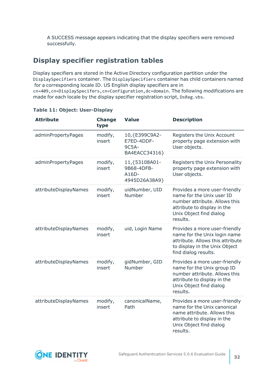A SUCCESS message appears indicating that the display specifiers were removed successfully.

### **Display specifier registration tables**

Display specifiers are stored in the Active Directory configuration partition under the DisplaySpecifiers container. The DisplaySpecifiers container has child containers named for a corresponding locale ID. US English display specifiers are in cn=409,cn=DisplaySpecifers,cn=Configuration,dc=domain. The following modifications are made for each locale by the display specifier registration script, DsReg.vbs.

| <b>Attribute</b>      | <b>Change</b><br>type | <b>Value</b>                                              | <b>Description</b>                                                                                                                                                 |
|-----------------------|-----------------------|-----------------------------------------------------------|--------------------------------------------------------------------------------------------------------------------------------------------------------------------|
| adminPropertyPages    | modify,<br>insert     | 10, {E399C9A2-<br>E7ED-4DDF-<br>9C5A-<br>BA4EACC34316}    | Registers the Unix Account<br>property page extension with<br>User objects.                                                                                        |
| adminPropertyPages    | modify,<br>insert     | 11, {53108A01-<br>9B68-4DFB-<br>$A16D -$<br>4945D26A38A9} | Registers the Unix Personality<br>property page extension with<br>User objects.                                                                                    |
| attributeDisplayNames | modify,<br>insert     | uidNumber, UID<br>Number                                  | Provides a more user-friendly<br>name for the Unix user ID<br>number attribute. Allows this<br>attribute to display in the<br>Unix Object find dialog<br>results.  |
| attributeDisplayNames | modify,<br>insert     | uid, Login Name                                           | Provides a more user-friendly<br>name for the Unix login name<br>attribute. Allows this attribute<br>to display in the Unix Object<br>find dialog results.         |
| attributeDisplayNames | modify,<br>insert     | gidNumber, GID<br>Number                                  | Provides a more user-friendly<br>name for the Unix group ID<br>number attribute. Allows this<br>attribute to display in the<br>Unix Object find dialog<br>results. |
| attributeDisplayNames | modify,<br>insert     | canonicalName,<br>Path                                    | Provides a more user-friendly<br>name for the Unix canonical<br>name attribute. Allows this<br>attribute to display in the<br>Unix Object find dialog<br>results.  |

#### **Table 11: Object: User-Display**

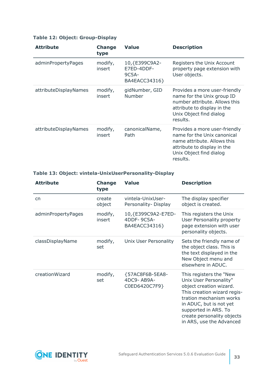#### **Table 12: Object: Group-Display**

| <b>Attribute</b>      | <b>Change</b><br>type | <b>Value</b>                                             | <b>Description</b>                                                                                                                                                 |
|-----------------------|-----------------------|----------------------------------------------------------|--------------------------------------------------------------------------------------------------------------------------------------------------------------------|
| adminPropertyPages    | modify,<br>insert     | 10, {E399C9A2-<br>E7ED-4DDF-<br>$9C5A-$<br>BA4EACC34316} | Registers the Unix Account<br>property page extension with<br>User objects.                                                                                        |
| attributeDisplayNames | modify,<br>insert     | gidNumber, GID<br><b>Number</b>                          | Provides a more user-friendly<br>name for the Unix group ID<br>number attribute. Allows this<br>attribute to display in the<br>Unix Object find dialog<br>results. |
| attributeDisplayNames | modify,<br>insert     | canonicalName,<br>Path                                   | Provides a more user-friendly<br>name for the Unix canonical<br>name attribute. Allows this<br>attribute to display in the<br>Unix Object find dialog<br>results.  |

#### **Table 13: Object: vintela-UnixUserPersonality-Display**

| <b>Attribute</b>   | <b>Change</b><br>type | <b>Value</b>                                       | <b>Description</b>                                                                                                                                                                                                                                  |
|--------------------|-----------------------|----------------------------------------------------|-----------------------------------------------------------------------------------------------------------------------------------------------------------------------------------------------------------------------------------------------------|
| cn                 | create<br>object      | vintela-UnixUser-<br>Personality-Display           | The display specifier<br>object is created.                                                                                                                                                                                                         |
| adminPropertyPages | modify,<br>insert     | 10, {E399C9A2-E7ED-<br>4DDF-9C5A-<br>BA4EACC34316} | This registers the Unix<br><b>User Personality property</b><br>page extension with user<br>personality objects.                                                                                                                                     |
| classDisplayName   | modify,<br>set        | Unix User Personality                              | Sets the friendly name of<br>the object class. This is<br>the text displayed in the<br>New Object menu and<br>elsewhere in ADUC.                                                                                                                    |
| creationWizard     | modify,<br>set        | {57AC8F6B-5EA8-<br>4DC9-AB9A-<br>C0ED6420C7F9}     | This registers the "New<br>Unix User Personality"<br>object creation wizard.<br>This creation wizard regis-<br>tration mechanism works<br>in ADUC, but is not yet<br>supported in ARS. To<br>create personality objects<br>in ARS, use the Advanced |

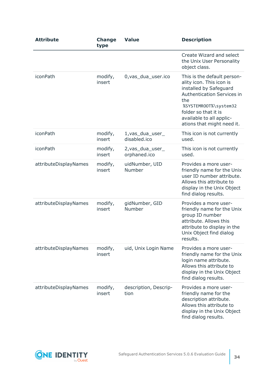| <b>Attribute</b>      | <b>Change</b><br>type | <b>Value</b>                     | <b>Description</b>                                                                                                                                                                                                                       |
|-----------------------|-----------------------|----------------------------------|------------------------------------------------------------------------------------------------------------------------------------------------------------------------------------------------------------------------------------------|
|                       |                       |                                  | Create Wizard and select<br>the Unix User Personality<br>object class.                                                                                                                                                                   |
| <i>iconPath</i>       | modify,<br>insert     | 0, vas_dua_user.ico              | This is the default person-<br>ality icon. This icon is<br>installed by Safeguard<br><b>Authentication Services in</b><br>the<br>%SYSTEMROOT%\system32<br>folder so that it is<br>available to all applic-<br>ations that might need it. |
| <i>iconPath</i>       | modify,<br>insert     | 1, vas_dua_user_<br>disabled.ico | This icon is not currently<br>used.                                                                                                                                                                                                      |
| iconPath              | modify,<br>insert     | 2, vas_dua_user_<br>orphaned.ico | This icon is not currently<br>used.                                                                                                                                                                                                      |
| attributeDisplayNames | modify,<br>insert     | uidNumber, UID<br>Number         | Provides a more user-<br>friendly name for the Unix<br>user ID number attribute.<br>Allows this attribute to<br>display in the Unix Object<br>find dialog results.                                                                       |
| attributeDisplayNames | modify,<br>insert     | gidNumber, GID<br>Number         | Provides a more user-<br>friendly name for the Unix<br>group ID number<br>attribute. Allows this<br>attribute to display in the<br>Unix Object find dialog<br>results.                                                                   |
| attributeDisplayNames | modify,<br>insert     | uid, Unix Login Name             | Provides a more user-<br>friendly name for the Unix<br>login name attribute.<br>Allows this attribute to<br>display in the Unix Object<br>find dialog results.                                                                           |
| attributeDisplayNames | modify,<br>insert     | description, Descrip-<br>tion    | Provides a more user-<br>friendly name for the<br>description attribute.<br>Allows this attribute to<br>display in the Unix Object<br>find dialog results.                                                                               |

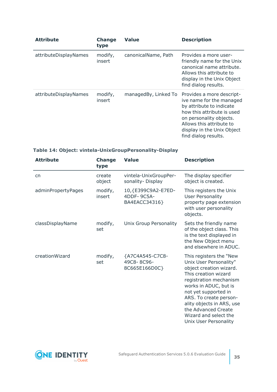| <b>Attribute</b>      | <b>Change</b><br>type | <b>Value</b>         | <b>Description</b>                                                                                                                                                                                                           |
|-----------------------|-----------------------|----------------------|------------------------------------------------------------------------------------------------------------------------------------------------------------------------------------------------------------------------------|
| attributeDisplayNames | modify,<br>insert     | canonicalName, Path  | Provides a more user-<br>friendly name for the Unix<br>canonical name attribute.<br>Allows this attribute to<br>display in the Unix Object<br>find dialog results.                                                           |
| attributeDisplayNames | modify,<br>insert     | managedBy, Linked To | Provides a more descript-<br>ive name for the managed<br>by attribute to indicate<br>how this attribute is used<br>on personality objects.<br>Allows this attribute to<br>display in the Unix Object<br>find dialog results. |

#### **Table 14: Object: vintela-UnixGroupPersonality-Display**

| <b>Attribute</b>   | <b>Change</b><br>type | <b>Value</b>                                       | <b>Description</b>                                                                                                                                                                                                                                                                                              |
|--------------------|-----------------------|----------------------------------------------------|-----------------------------------------------------------------------------------------------------------------------------------------------------------------------------------------------------------------------------------------------------------------------------------------------------------------|
| cn                 | create<br>object      | vintela-UnixGroupPer-<br>sonality-Display          | The display specifier<br>object is created.                                                                                                                                                                                                                                                                     |
| adminPropertyPages | modify,<br>insert     | 10, {E399C9A2-E7ED-<br>4DDF-9C5A-<br>BA4EACC34316} | This registers the Unix<br><b>User Personality</b><br>property page extension<br>with user personality<br>objects.                                                                                                                                                                                              |
| classDisplayName   | modify,<br>set        | Unix Group Personality                             | Sets the friendly name<br>of the object class. This<br>is the text displayed in<br>the New Object menu<br>and elsewhere in ADUC.                                                                                                                                                                                |
| creationWizard     | modify,<br>set        | {A7C4A545-C7C8-<br>49C8-8C96-<br>8C665E166D0C}     | This registers the "New<br>Unix User Personality"<br>object creation wizard.<br>This creation wizard<br>registration mechanism<br>works in ADUC, but is<br>not yet supported in<br>ARS. To create person-<br>ality objects in ARS, use<br>the Advanced Create<br>Wizard and select the<br>Unix User Personality |

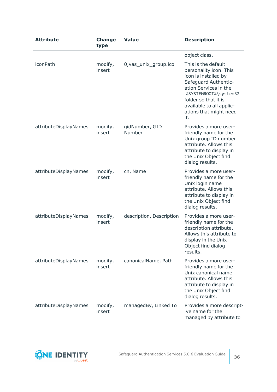| <b>Attribute</b>      | <b>Change</b><br>type | <b>Value</b>             | <b>Description</b>                                                                                                                                                                                                                   |
|-----------------------|-----------------------|--------------------------|--------------------------------------------------------------------------------------------------------------------------------------------------------------------------------------------------------------------------------------|
|                       |                       |                          | object class.                                                                                                                                                                                                                        |
| iconPath              | modify,<br>insert     | 0, vas_unix_group.ico    | This is the default<br>personality icon. This<br>icon is installed by<br>Safeguard Authentic-<br>ation Services in the<br>%SYSTEMROOT%\system32<br>folder so that it is<br>available to all applic-<br>ations that might need<br>it. |
| attributeDisplayNames | modify,<br>insert     | gidNumber, GID<br>Number | Provides a more user-<br>friendly name for the<br>Unix group ID number<br>attribute. Allows this<br>attribute to display in<br>the Unix Object find<br>dialog results.                                                               |
| attributeDisplayNames | modify,<br>insert     | cn, Name                 | Provides a more user-<br>friendly name for the<br>Unix login name<br>attribute. Allows this<br>attribute to display in<br>the Unix Object find<br>dialog results.                                                                    |
| attributeDisplayNames | modify,<br>insert     | description, Description | Provides a more user-<br>friendly name for the<br>description attribute.<br>Allows this attribute to<br>display in the Unix<br>Object find dialog<br>results.                                                                        |
| attributeDisplayNames | modify,<br>insert     | canonicalName, Path      | Provides a more user-<br>friendly name for the<br>Unix canonical name<br>attribute. Allows this<br>attribute to display in<br>the Unix Object find<br>dialog results.                                                                |
| attributeDisplayNames | modify,<br>insert     | managedBy, Linked To     | Provides a more descript-<br>ive name for the<br>managed by attribute to                                                                                                                                                             |

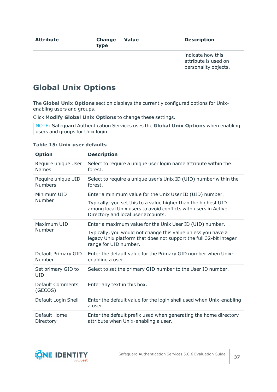indicate how this attribute is used on personality objects.

## <span id="page-36-0"></span>**Global Unix Options**

The **Global Unix Options** section displays the currently configured options for Unixenabling users and groups.

Click **Modify Global Unix Options** to change these settings.

NOTE: Safeguard Authentication Services uses the **Global Unix Options** when enabling users and groups for Unix login.

| <b>Option</b>                        | <b>Description</b>                                                                                                                                                     |
|--------------------------------------|------------------------------------------------------------------------------------------------------------------------------------------------------------------------|
| Require unique User<br><b>Names</b>  | Select to require a unique user login name attribute within the<br>forest.                                                                                             |
| Require unique UID<br><b>Numbers</b> | Select to require a unique user's Unix ID (UID) number within the<br>forest.                                                                                           |
| Minimum UID                          | Enter a minimum value for the Unix User ID (UID) number.                                                                                                               |
| Number                               | Typically, you set this to a value higher than the highest UID<br>among local Unix users to avoid conflicts with users in Active<br>Directory and local user accounts. |
| Maximum UID                          | Enter a maximum value for the Unix User ID (UID) number.                                                                                                               |
| Number                               | Typically, you would not change this value unless you have a<br>legacy Unix platform that does not support the full 32-bit integer<br>range for UID number.            |
| Default Primary GID<br>Number        | Enter the default value for the Primary GID number when Unix-<br>enabling a user.                                                                                      |
| Set primary GID to<br><b>UID</b>     | Select to set the primary GID number to the User ID number.                                                                                                            |
| Default Comments<br>(GECOS)          | Enter any text in this box.                                                                                                                                            |
| Default Login Shell                  | Enter the default value for the login shell used when Unix-enabling<br>a user.                                                                                         |
| Default Home<br>Directory            | Enter the default prefix used when generating the home directory<br>attribute when Unix-enabling a user.                                                               |

#### **Table 15: Unix user defaults**

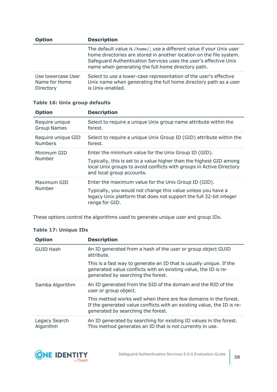| <b>Option</b>                                    | <b>Description</b>                                                                                                                                                                                                                                                    |  |  |
|--------------------------------------------------|-----------------------------------------------------------------------------------------------------------------------------------------------------------------------------------------------------------------------------------------------------------------------|--|--|
|                                                  | The default value is /home/; use a different value if your Unix user<br>home directories are stored in another location on the file system.<br>Safeguard Authentication Services uses the user's effective Unix<br>name when generating the full home directory path. |  |  |
| Use lowercase User<br>Name for Home<br>Directory | Select to use a lower-case representation of the user's effective<br>Unix name when generating the full home directory path as a user<br>is Unix-enabled.                                                                                                             |  |  |

| <b>Option</b>                        | <b>Description</b>                                                                                                                                                                                                               |
|--------------------------------------|----------------------------------------------------------------------------------------------------------------------------------------------------------------------------------------------------------------------------------|
| Require unique<br><b>Group Names</b> | Select to require a unique Unix group name attribute within the<br>forest.                                                                                                                                                       |
| Require unique GID<br><b>Numbers</b> | Select to require a unique Unix Group ID (GID) attribute within the<br>forest.                                                                                                                                                   |
| Minimum GID<br>Number                | Enter the minimum value for the Unix Group ID (GID).<br>Typically, this is set to a value higher than the highest GID among<br>local Unix groups to avoid conflicts with groups in Active Directory<br>and local group accounts. |
| Maximum GID<br>Number                | Enter the maximum value for the Unix Group ID (GID).<br>Typically, you would not change this value unless you have a<br>legacy Unix platform that does not support the full 32-bit integer<br>range for GID.                     |

#### **Table 16: Unix group defaults**

These options control the algorithms used to generate unique user and group IDs.

#### **Table 17: Unique IDs**

| <b>Option</b>              | <b>Description</b>                                                                                                                                                               |
|----------------------------|----------------------------------------------------------------------------------------------------------------------------------------------------------------------------------|
| <b>GUID Hash</b>           | An ID generated from a hash of the user or group object GUID<br>attribute.                                                                                                       |
|                            | This is a fast way to generate an ID that is usually unique. If the<br>generated value conflicts with an existing value, the ID is re-<br>generated by searching the forest.     |
| Samba Algorithm            | An ID generated from the SID of the domain and the RID of the<br>user or group object.                                                                                           |
|                            | This method works well when there are few domains in the forest.<br>If the generated value conflicts with an existing value, the ID is re-<br>generated by searching the forest. |
| Legacy Search<br>Algorithm | An ID generated by searching for existing ID values in the forest.<br>This method generates an ID that is not currently in use.                                                  |

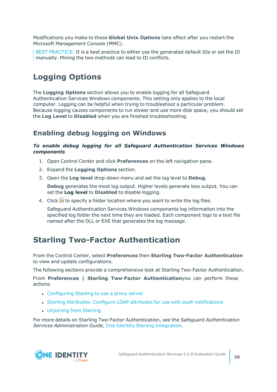Modifications you make to these **Global Unix Options** take effect after you restart the Microsoft Management Console (MMC).

BEST PRACTICE: It is a best practice to either use the generated default IDs or set the ID manually. Mixing the two methods can lead to ID conflicts.

## <span id="page-38-0"></span>**Logging Options**

The **Logging Options** section allows you to enable logging for all Safeguard Authentication Services Windows components. This setting only applies to the local computer. Logging can be helpful when trying to troubleshoot a particular problem. Because logging causes components to run slower and use more disk space, you should set the **Log Level** to **Disabled** when you are finished troubleshooting.

### <span id="page-38-2"></span>**Enabling debug logging on Windows**

#### *To enable debug logging for all Safeguard Authentication Services Windows components*

- 1. Open Control Center and click **Preferences** on the left navigation pane.
- 2. Expand the **Logging Options** section.
- 3. Open the **Log level** drop-down menu and set the log level to **Debug**.

**Debug** generates the most log output. Higher levels generate less output. You can set the **Log level** to **Disabled** to disable logging.

4. Click  $\blacksquare$  to specify a folder location where you want to write the log files.

Safeguard Authentication Services Windows components log information into the specified log folder the next time they are loaded. Each component logs to a text file named after the DLL or EXE that generates the log message.

## <span id="page-38-1"></span>**Starling Two-Factor Authentication**

From the Control Center, select **Preferences** then **Starling Two-Factor Authentication** to view and update configurations.

The following sections provide a comprehensive look at Starling Two-Factor Authentication.

From **Preferences | Starling Two-Factor Authentication**you can perform these actions.

- [Configuring](#page-42-0) Starling to use a proxy server
- Starling Attributes: Configure LDAP attributes for use with push [notifications](#page-48-0)
- [Unjoining](#page-44-0) from Starling

For more details on Starling Two-Factor Authentication, see the *Safeguard Authentication Services Administration Guide*, One Identity Starling [Integration](https://support.oneidentity.com/technical-documents/authentication-services/administration-guide/43#TOPIC-1468115).

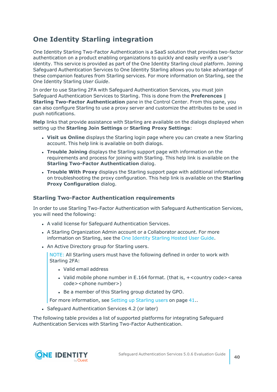### <span id="page-39-0"></span>**One Identity Starling integration**

One Identity Starling Two-Factor Authentication is a SaaS solution that provides two-factor authentication on a product enabling organizations to quickly and easily verify a user's identity. This service is provided as part of the One Identity Starling cloud platform. Joining Safeguard Authentication Services to One Identity Starling allows you to take advantage of these companion features from Starling services. For more information on Starling, see the One Identity Starling *User Guide*.

In order to use Starling 2FA with Safeguard Authentication Services, you must join Safeguard Authentication Services to Starling. This is done from the **Preferences | Starling Two-Factor Authentication** pane in the Control Center. From this pane, you can also configure Starling to use a proxy server and customize the attributes to be used in push notifications.

**Help** links that provide assistance with Starling are available on the dialogs displayed when setting up the **Starling Join Settings** or **Starling Proxy Settings**:

- <sup>l</sup> **Visit us Online** displays the Starling login page where you can create a new Starling account. This help link is available on both dialogs.
- <sup>l</sup> **Trouble Joining** displays the Starling support page with information on the requirements and process for joining with Starling. This help link is available on the **Starling Two-Factor Authentication** dialog.
- <sup>l</sup> **Trouble With Proxy** displays the Starling support page with additional information on troubleshooting the proxy configuration. This help link is available on the **Starling Proxy Configuration** dialog.

#### <span id="page-39-1"></span>**Starling Two-Factor Authentication requirements**

In order to use Starling Two-Factor Authentication with Safeguard Authentication Services, you will need the following:

- A valid license for Safeguard Authentication Services.
- A Starling Organization Admin account or a Collaborator account. For more information on Starling, see the One [Identity](https://support.oneidentity.com/technical-documents/one-identity-starling/hosted/user-guide) Starling Hosted User Guide.
- An Active Directory group for Starling users.

NOTE: All Starling users must have the following defined in order to work with Starling 2FA:

- Valid email address
- Valid mobile phone number in E.164 format. (that is,  $+$ <country code><area code><phone number>)
- Be a member of this Starling group dictated by GPO.

For more [information,](#page-40-0) see Setting up Starling users on page 41.

• Safeguard Authentication Services 4.2 (or later)

The following table provides a list of supported platforms for integrating Safeguard Authentication Services with Starling Two-Factor Authentication.

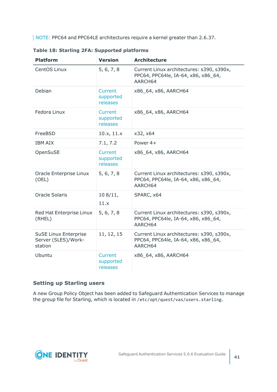NOTE: PPC64 and PPC64LE architectures require a kernel greater than 2.6.37.

| <b>Platform</b>                                                | <b>Version</b>                   | <b>Architecture</b>                                                                         |
|----------------------------------------------------------------|----------------------------------|---------------------------------------------------------------------------------------------|
| CentOS Linux                                                   | 5, 6, 7, 8                       | Current Linux architectures: s390, s390x,<br>PPC64, PPC64le, IA-64, x86, x86_64,<br>AARCH64 |
| Debian                                                         | Current<br>supported<br>releases | x86_64, x86, AARCH64                                                                        |
| Fedora Linux                                                   | Current<br>supported<br>releases | x86_64, x86, AARCH64                                                                        |
| FreeBSD                                                        | 10.x, 11.x                       | x32, x64                                                                                    |
| <b>IBM AIX</b>                                                 | 7.1, 7.2                         | Power 4+                                                                                    |
| OpenSuSE                                                       | Current<br>supported<br>releases | x86_64, x86, AARCH64                                                                        |
| Oracle Enterprise Linux<br>(OEL)                               | 5, 6, 7, 8                       | Current Linux architectures: s390, s390x,<br>PPC64, PPC64le, IA-64, x86, x86_64,<br>AARCH64 |
| <b>Oracle Solaris</b>                                          | 108/11,<br>11.x                  | SPARC, x64                                                                                  |
| Red Hat Enterprise Linux<br>(RHEL)                             | 5, 6, 7, 8                       | Current Linux architectures: s390, s390x,<br>PPC64, PPC64le, IA-64, x86, x86_64,<br>AARCH64 |
| <b>SuSE Linux Enterprise</b><br>Server (SLES)/Work-<br>station | 11, 12, 15                       | Current Linux architectures: s390, s390x,<br>PPC64, PPC64le, IA-64, x86, x86_64,<br>AARCH64 |
| Ubuntu                                                         | Current<br>supported<br>releases | x86_64, x86, AARCH64                                                                        |

**Table 18: Starling 2FA: Supported platforms**

#### <span id="page-40-0"></span>**Setting up Starling users**

A new Group Policy Object has been added to Safeguard Authentication Services to manage the group file for Starling, which is located in /etc/opt/quest/vas/users.starling.

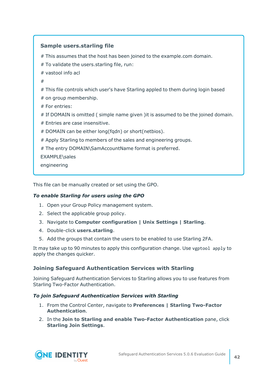#### **Sample users.starling file**

# This assumes that the host has been joined to the example.com domain.

# To validate the users.starling file, run:

# vastool info acl

#

# This file controls which user's have Starling appled to them during login based

# on group membership.

# For entries:

# If DOMAIN is omitted ( simple name given )it is assumed to be the joined domain.

# Entries are case insensitive.

# DOMAIN can be either long(fqdn) or short(netbios).

# Apply Starling to members of the sales and engineering groups.

# The entry DOMAIN\SamAccountName format is preferred.

EXAMPLE\sales

engineering

This file can be manually created or set using the GPO.

#### *To enable Starling for users using the GPO*

- 1. Open your Group Policy management system.
- 2. Select the applicable group policy.
- 3. Navigate to **Computer configuration | Unix Settings | Starling**.
- 4. Double-click **users.starling**.
- 5. Add the groups that contain the users to be enabled to use Starling 2FA.

It may take up to 90 minutes to apply this configuration change. Use vgptool apply to apply the changes quicker.

#### <span id="page-41-0"></span>**Joining Safeguard Authentication Services with Starling**

Joining Safeguard Authentication Services to Starling allows you to use features from Starling Two-Factor Authentication.

#### *To join Safeguard Authentication Services with Starling*

- 1. From the Control Center, navigate to **Preferences | Starling Two-Factor Authentication**.
- 2. In the **Join to Starling and enable Two-Factor Authentication** pane, click **Starling Join Settings**.

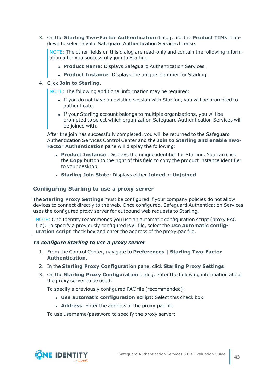3. On the **Starling Two-Factor Authentication** dialog, use the **Product TIMs** dropdown to select a valid Safeguard Authentication Services license.

NOTE: The other fields on this dialog are read-only and contain the following information after you successfully join to Starling:

- **Product Name: Displays Safeguard Authentication Services.**
- **Product Instance**: Displays the unique identifier for Starling.

#### 4. Click **Join to Starling**.

NOTE: The following additional information may be required:

- If you do not have an existing session with Starling, you will be prompted to authenticate.
- If your Starling account belongs to multiple organizations, you will be prompted to select which organization Safeguard Authentication Services will be joined with.

After the join has successfully completed, you will be returned to the Safeguard Authentication Services Control Center and the **Join to Starling and enable Two-Factor Authentication** pane will display the following:

- <sup>l</sup> **Product Instance**: Displays the unique identifier for Starling. You can click the **Copy** button to the right of this field to copy the product instance identifier to your desktop.
- <sup>l</sup> **Starling Join State**: Displays either **Joined** or **Unjoined**.

#### <span id="page-42-0"></span>**Configuring Starling to use a proxy server**

The **Starling Proxy Settings** must be configured if your company policies do not allow devices to connect directly to the web. Once configured, Safeguard Authentication Services uses the configured proxy server for outbound web requests to Starling.

NOTE: One Identity recommends you use an automatic configuration script (proxy PAC file). To specify a previously configured PAC file, select the **Use automatic configuration script** check box and enter the address of the proxy.pac file.

#### *To configure Starling to use a proxy server*

- 1. From the Control Center, navigate to **Preferences | Starling Two-Factor Authentication**.
- 2. In the **Starling Proxy Configuration** pane, click **Starling Proxy Settings**.
- 3. On the **Starling Proxy Configuration** dialog, enter the following information about the proxy server to be used:

To specify a previously configured PAC file (recommended):

- <sup>l</sup> **Use automatic configuration script**: Select this check box.
- **Address:** Enter the address of the proxy.pac file.

To use username/password to specify the proxy server:

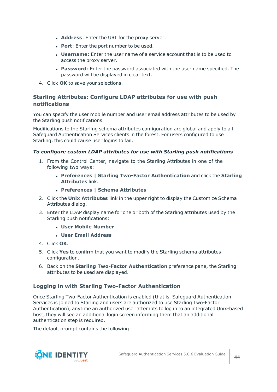- **Address**: Enter the URL for the proxy server.
- **Port:** Enter the port number to be used.
- **Username:** Enter the user name of a service account that is to be used to access the proxy server.
- **Password**: Enter the password associated with the user name specified. The password will be displayed in clear text.
- 4. Click **OK** to save your selections.

#### <span id="page-43-1"></span>**Starling Attributes: Configure LDAP attributes for use with push notifications**

You can specify the user mobile number and user email address attributes to be used by the Starling push notifications.

Modifications to the Starling schema attributes configuration are global and apply to all Safeguard Authentication Services clients in the forest. For users configured to use Starling, this could cause user logins to fail.

#### *To configure custom LDAP attributes for use with Starling push notifications*

- 1. From the Control Center, navigate to the Starling Attributes in one of the following two ways:
	- <sup>l</sup> **Preferences | Starling Two-Factor Authentication** and click the **Starling Attributes** link.
	- <sup>l</sup> **Preferences | Schema Attributes**
- 2. Click the **Unix Attributes** link in the upper right to display the Customize Schema Attributes dialog.
- 3. Enter the LDAP display name for one or both of the Starling attributes used by the Starling push notifications:
	- <sup>l</sup> **User Mobile Number**
	- <sup>l</sup> **User Email Address**
- 4. Click **OK**.
- 5. Click **Yes** to confirm that you want to modify the Starling schema attributes configuration.
- 6. Back on the **Starling Two-Factor Authentication** preference pane, the Starling attributes to be used are displayed.

#### <span id="page-43-0"></span>**Logging in with Starling Two-Factor Authentication**

Once Starling Two-Factor Authentication is enabled (that is, Safeguard Authentication Services is joined to Starling and users are authorized to use Starling Two-Factor Authentication), anytime an authorized user attempts to log in to an integrated Unix-based host, they will see an additional login screen informing them that an additional authentication step is required.

The default prompt contains the following:

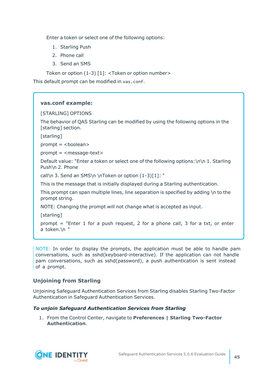Enter a token or select one of the following options:

- 1. Starling Push
- 2. Phone call
- 3. Send an SMS

Token or option (1-3) [1]: <Token or option number>

This default prompt can be modified in vas.conf.

#### **vas.conf example:**

#### [STARLING] OPTIONS

The behavior of QAS Starling can be modified by using the following options in the [starling] section.

[starling]

prompt = <br/> <br/>boolean>

prompt = <message-text>

Default value: "Enter a token or select one of the following options:\n\n 1. Starling Push\n 2. Phone

call\n 3. Send an SMS\n \nToken or option (1-3)[1]: "

This is the message that is initially displayed during a Starling authentication.

This prompt can span multiple lines, line separation is specified by adding \n to the prompt string.

NOTE: Changing the prompt will not change what is accepted as input.

[starling]

prompt = "Enter 1 for a push request, 2 for a phone call, 3 for a txt, or enter a token.\n "

NOTE: In order to display the prompts, the application must be able to handle pam conversations, such as sshd(keyboard-interactive). If the application can not handle pam conversations, such as sshd(password), a push authentication is sent instead of a prompt.

#### <span id="page-44-0"></span>**Unjoining from Starling**

Unjoining Safeguard Authentication Services from Starling disables Starling Two-Factor Authentication in Safeguard Authentication Services.

#### *To unjoin Safeguard Authentication Services from Starling*

1. From the Control Center, navigate to **Preferences | Starling Two-Factor Authentication**.

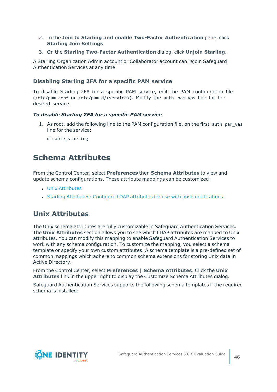- 2. In the **Join to Starling and enable Two-Factor Authentication** pane, click **Starling Join Settings**.
- 3. On the **Starling Two-Factor Authentication** dialog, click **Unjoin Starling**.

A Starling Organization Admin account or Collaborator account can rejoin Safeguard Authentication Services at any time.

#### <span id="page-45-2"></span>**Disabling Starling 2FA for a specific PAM service**

To disable Starling 2FA for a specific PAM service, edit the PAM configuration file (/etc/pam.conf or /etc/pam.d/<service>). Modify the auth pam\_vas line for the desired service.

#### *To disable Starling 2FA for a specific PAM service*

1. As root, add the following line to the PAM configuration file, on the first auth pam\_vas line for the service:

disable\_starling

### <span id="page-45-0"></span>**Schema Attributes**

From the Control Center, select **Preferences** then **Schema Attributes** to view and update schema configurations. These attribute mappings can be customized:

- Unix [Attributes](#page-45-1)
- Starling Attributes: Configure LDAP attributes for use with push [notifications](#page-48-0)

### <span id="page-45-1"></span>**Unix Attributes**

The Unix schema attributes are fully customizable in Safeguard Authentication Services. The **Unix Attributes** section allows you to see which LDAP attributes are mapped to Unix attributes. You can modify this mapping to enable Safeguard Authentication Services to work with any schema configuration. To customize the mapping, you select a schema template or specify your own custom attributes. A schema template is a pre-defined set of common mappings which adhere to common schema extensions for storing Unix data in Active Directory.

From the Control Center, select **Preferences | Schema Attributes**. Click the **Unix Attributes** link in the upper right to display the Customize Schema Attributes dialog.

Safeguard Authentication Services supports the following schema templates if the required schema is installed:

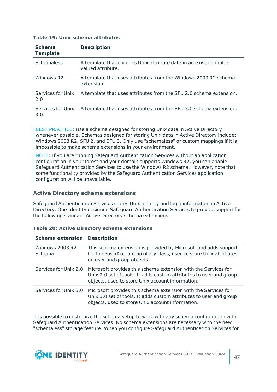#### **Table 19: Unix schema attributes**

| <b>Schema</b><br><b>Template</b> | <b>Description</b>                                                                     |
|----------------------------------|----------------------------------------------------------------------------------------|
| <b>Schemaless</b>                | A template that encodes Unix attribute data in an existing multi-<br>valued attribute. |
| Windows R <sub>2</sub>           | A template that uses attributes from the Windows 2003 R2 schema<br>extension.          |
| Services for Unix<br>2.0         | A template that uses attributes from the SFU 2.0 schema extension.                     |
| Services for Unix<br>3.0         | A template that uses attributes from the SFU 3.0 schema extension.                     |

BEST PRACTICE: Use a schema designed for storing Unix data in Active Directory whenever possible. Schemas designed for storing Unix data in Active Directory include: Windows 2003 R2, SFU 2, and SFU 3. Only use "schemaless" or custom mappings if it is impossible to make schema extensions in your environment.

NOTE: If you are running Safeguard Authentication Services without an application configuration in your forest and your domain supports Windows R2, you can enable Safeguard Authentication Services to use the Windows R2 schema. However, note that some functionality provided by the Safeguard Authentication Services application configuration will be unavailable.

#### <span id="page-46-1"></span><span id="page-46-0"></span>**Active Directory schema extensions**

Safeguard Authentication Services stores Unix identity and login information in Active Directory. One Identity designed Safeguard Authentication Services to provide support for the following standard Active Directory schema extensions.

#### **Table 20: Active Directory schema extensions**

#### **Schema extension Description**

| Windows 2003 R2<br>Schema | This schema extension is provided by Microsoft and adds support<br>for the PosixAccount auxiliary class, used to store Unix attributes<br>on user and group objects.                                           |
|---------------------------|----------------------------------------------------------------------------------------------------------------------------------------------------------------------------------------------------------------|
| Services for Unix 2.0     | Microsoft provides this schema extension with the Services for<br>Unix 2.0 set of tools. It adds custom attributes to user and group<br>objects, used to store Unix account information.                       |
|                           | Services for Unix 3.0 Microsoft provides this schema extension with the Services for<br>Unix 3.0 set of tools. It adds custom attributes to user and group<br>objects, used to store Unix account information. |

It is possible to customize the schema setup to work with any schema configuration with Safeguard Authentication Services. No schema extensions are necessary with the new "schemaless" storage feature. When you configure Safeguard Authentication Services for

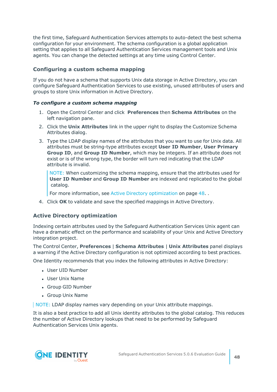the first time, Safeguard Authentication Services attempts to auto-detect the best schema configuration for your environment. The schema configuration is a global application setting that applies to all Safeguard Authentication Services management tools and Unix agents. You can change the detected settings at any time using Control Center.

#### <span id="page-47-1"></span>**Configuring a custom schema mapping**

If you do not have a schema that supports Unix data storage in Active Directory, you can configure Safeguard Authentication Services to use existing, unused attributes of users and groups to store Unix information in Active Directory.

#### *To configure a custom schema mapping*

- 1. Open the Control Center and click **Preferences** then **Schema Attributes** on the left navigation pane.
- 2. Click the **Unix Attributes** link in the upper right to display the Customize Schema Attributes dialog.
- 3. Type the LDAP display names of the attributes that you want to use for Unix data. All attributes must be string-type attributes except **User ID Number**, **User Primary Group ID**, and **Group ID Number**, which may be integers. If an attribute does not exist or is of the wrong type, the border will turn red indicating that the LDAP attribute is invalid.

NOTE: When customizing the schema mapping, ensure that the attributes used for **User ID Number** and **Group ID Number** are indexed and replicated to the global catalog.

For more information, see Active Directory [optimization](#page-47-0) on page 48. .

4. Click **OK** to validate and save the specified mappings in Active Directory.

#### <span id="page-47-0"></span>**Active Directory optimization**

Indexing certain attributes used by the Safeguard Authentication Services Unix agent can have a dramatic effect on the performance and scalability of your Unix and Active Directory integration project.

The Control Center, **Preferences** | **Schema Attributes** | **Unix Attributes** panel displays a warning if the Active Directory configuration is not optimized according to best practices.

One Identity recommends that you index the following attributes in Active Directory:

- User UID Number
- <sup>l</sup> User Unix Name
- Group GID Number
- Group Unix Name

NOTE: LDAP display names vary depending on your Unix attribute mappings.

It is also a best practice to add all Unix identity attributes to the global catalog. This reduces the number of Active Directory lookups that need to be performed by Safeguard Authentication Services Unix agents.

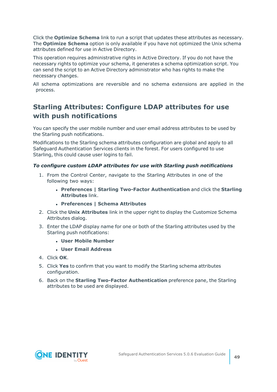Click the **Optimize Schema** link to run a script that updates these attributes as necessary. The **Optimize Schema** option is only available if you have not optimized the Unix schema attributes defined for use in Active Directory.

This operation requires administrative rights in Active Directory. If you do not have the necessary rights to optimize your schema, it generates a schema optimization script. You can send the script to an Active Directory administrator who has rights to make the necessary changes.

All schema optimizations are reversible and no schema extensions are applied in the process.

### <span id="page-48-0"></span>**Starling Attributes: Configure LDAP attributes for use with push notifications**

You can specify the user mobile number and user email address attributes to be used by the Starling push notifications.

Modifications to the Starling schema attributes configuration are global and apply to all Safeguard Authentication Services clients in the forest. For users configured to use Starling, this could cause user logins to fail.

#### *To configure custom LDAP attributes for use with Starling push notifications*

- 1. From the Control Center, navigate to the Starling Attributes in one of the following two ways:
	- <sup>l</sup> **Preferences | Starling Two-Factor Authentication** and click the **Starling Attributes** link.
	- <sup>l</sup> **Preferences | Schema Attributes**
- 2. Click the **Unix Attributes** link in the upper right to display the Customize Schema Attributes dialog.
- 3. Enter the LDAP display name for one or both of the Starling attributes used by the Starling push notifications:
	- <sup>l</sup> **User Mobile Number**
	- <sup>l</sup> **User Email Address**
- 4. Click **OK**.
- 5. Click **Yes** to confirm that you want to modify the Starling schema attributes configuration.
- 6. Back on the **Starling Two-Factor Authentication** preference pane, the Starling attributes to be used are displayed.

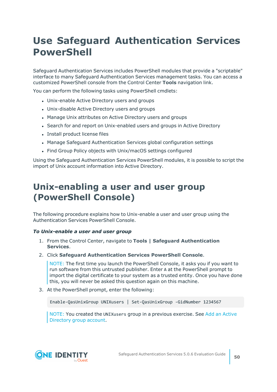# <span id="page-49-0"></span>**Use Safeguard Authentication Services PowerShell**

Safeguard Authentication Services includes PowerShell modules that provide a "scriptable" interface to many Safeguard Authentication Services management tasks. You can access a customized PowerShell console from the Control Center **Tools** navigation link.

You can perform the following tasks using PowerShell cmdlets:

- Unix-enable Active Directory users and groups
- Unix-disable Active Directory users and groups
- Manage Unix attributes on Active Directory users and groups
- Search for and report on Unix-enabled users and groups in Active Directory
- Install product license files
- Manage Safeguard Authentication Services global configuration settings
- Find Group Policy objects with Unix/macOS settings configured

Using the Safeguard Authentication Services PowerShell modules, it is possible to script the import of Unix account information into Active Directory.

# <span id="page-49-1"></span>**Unix-enabling a user and user group (PowerShell Console)**

The following procedure explains how to Unix-enable a user and user group using the Authentication Services PowerShell Console.

#### *To Unix-enable a user and user group*

- 1. From the Control Center, navigate to **Tools | Safeguard Authentication Services**.
- 2. Click **Safeguard Authentication Services PowerShell Console**.

NOTE: The first time you launch the PowerShell Console, it asks you if you want to run software from this untrusted publisher. Enter A at the PowerShell prompt to import the digital certificate to your system as a trusted entity. Once you have done this, you will never be asked this question again on this machine.

3. At the PowerShell prompt, enter the following:

Enable-QasUnixGroup UNIXusers | Set-QasUnixGroup -GidNumber 1234567

NOTE: You created the UNIXusers group in a previous exercise. See Add an [Active](../../../../../Content/Guides/AuthServices/AddADGroupAcct.htm) [Directory](../../../../../Content/Guides/AuthServices/AddADGroupAcct.htm) group account.

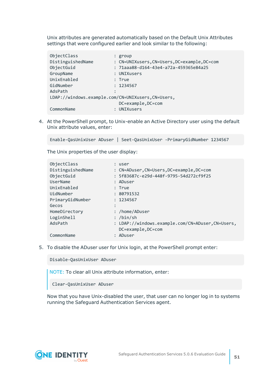Unix attributes are generated automatically based on the Default Unix Attributes settings that were configured earlier and look similar to the following:

| ObjectClass                                       | $:$ group                                    |
|---------------------------------------------------|----------------------------------------------|
| DistinguishedName                                 | : CN=UNIXusers, CN=Users, DC=example, DC=com |
| ObjectGuid                                        | : 71aaa88-d164-43e4-a72a-459365e84a25        |
| GroupName                                         | : UNIXusers                                  |
| UnixEnabled                                       | : True                                       |
| GidNumber                                         | : 1234567                                    |
| AdsPath                                           |                                              |
| LDAP://windows.example.com/CN=UNIXusers,CN=Users, |                                              |
|                                                   | DC=example, DC=com                           |
| CommonName                                        | UNIXusers                                    |

4. At the PowerShell prompt, to Unix-enable an Active Directory user using the default Unix attribute values, enter:

Enable-QasUnixUser ADuser | Seet-QasUnixUser -PrimaryGidNumber 1234567

The Unix properties of the user display:

| ObjectClass       | : user                                           |
|-------------------|--------------------------------------------------|
| DistinguishedName | : CN=ADuser, CN=Users, DC=example, DC=com        |
| ObjectGuid        | : 5f83687c-e29d-448f-9795-54d272cf9f25           |
| UserName          | : ADuser                                         |
| UnixEnabled       | : True                                           |
| UidNumber         | : 80791532                                       |
| PrimaryGidNumber  | : 1234567                                        |
| Gecos             |                                                  |
| HomeDirectory     | : /home/ADuser                                   |
| LoginShell        | : /bin/sh                                        |
| AdsPath           | : LDAP://windows.example.com/CN=ADuser,CN=Users, |
|                   | DC=example, DC=com                               |
| CommonName        | : ADuser                                         |

5. To disable the ADuser user for Unix login, at the PowerShell prompt enter:

Disable-QasUnixUser ADuser

NOTE: To clear all Unix attribute information, enter:

Clear-QasUnixUser ADuser

Now that you have Unix-disabled the user, that user can no longer log in to systems running the Safeguard Authentication Services agent.

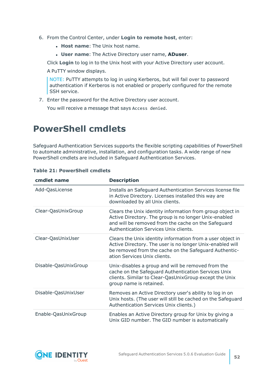- 6. From the Control Center, under **Login to remote host**, enter:
	- **. Host name:** The Unix host name.
	- <sup>l</sup> **User name**: The Active Directory user name, **ADuser**.

Click **Login** to log in to the Unix host with your Active Directory user account.

A PuTTY window displays.

NOTE: PuTTY attempts to log in using Kerberos, but will fail over to password authentication if Kerberos is not enabled or properly configured for the remote SSH service.

7. Enter the password for the Active Directory user account.

You will receive a message that says Access denied.

# <span id="page-51-0"></span>**PowerShell cmdlets**

Safeguard Authentication Services supports the flexible scripting capabilities of PowerShell to automate administrative, installation, and configuration tasks. A wide range of new PowerShell cmdlets are included in Safeguard Authentication Services.

| cmdlet name          | <b>Description</b>                                                                                                                                                                                                 |
|----------------------|--------------------------------------------------------------------------------------------------------------------------------------------------------------------------------------------------------------------|
| Add-QasLicense       | Installs an Safeguard Authentication Services license file<br>in Active Directory. Licenses installed this way are<br>downloaded by all Unix clients.                                                              |
| Clear-QasUnixGroup   | Clears the Unix identity information from group object in<br>Active Directory. The group is no longer Unix-enabled<br>and will be removed from the cache on the Safeguard<br>Authentication Services Unix clients. |
| Clear-QasUnixUser    | Clears the Unix identity information from a user object in<br>Active Directory. The user is no longer Unix-enabled will<br>be removed from the cache on the Safeguard Authentic-<br>ation Services Unix clients.   |
| Disable-QasUnixGroup | Unix-disables a group and will be removed from the<br>cache on the Safeguard Authentication Services Unix<br>clients. Similar to Clear-QasUnixGroup except the Unix<br>group name is retained.                     |
| Disable-QasUnixUser  | Removes an Active Directory user's ability to log in on<br>Unix hosts. (The user will still be cached on the Safeguard<br>Authentication Services Unix clients.)                                                   |
| Enable-QasUnixGroup  | Enables an Active Directory group for Unix by giving a<br>Unix GID number. The GID number is automatically                                                                                                         |

#### **Table 21: PowerShell cmdlets**

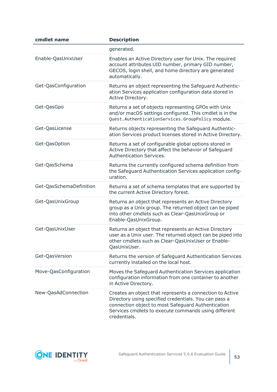| cmdlet name             | <b>Description</b>                                                                                                                                                                                                                              |
|-------------------------|-------------------------------------------------------------------------------------------------------------------------------------------------------------------------------------------------------------------------------------------------|
|                         | generated.                                                                                                                                                                                                                                      |
| Enable-QasUnixUser      | Enables an Active Directory user for Unix. The required<br>account attributes UID number, primary GID number,<br>GECOS, login shell, and home directory are generated<br>automatically.                                                         |
| Get-QasConfiguration    | Returns an object representing the Safeguard Authentic-<br>ation Services application configuration data stored in<br>Active Directory.                                                                                                         |
| Get-QasGpo              | Returns a set of objects representing GPOs with Unix<br>and/or macOS settings configured. This cmdlet is in the<br>Quest.AuthenticationServices.GroupPolicy module.                                                                             |
| Get-QasLicense          | Returns objects representing the Safeguard Authentic-<br>ation Services product licenses stored in Active Directory.                                                                                                                            |
| Get-QasOption           | Returns a set of configurable global options stored in<br>Active Directory that affect the behavior of Safeguard<br>Authentication Services.                                                                                                    |
| Get-QasSchema           | Returns the currently configured schema definition from<br>the Safeguard Authentication Services application config-<br>uration.                                                                                                                |
| Get-QasSchemaDefinition | Returns a set of schema templates that are supported by<br>the current Active Directory forest.                                                                                                                                                 |
| Get-QasUnixGroup        | Returns an object that represents an Active Directory<br>group as a Unix group. The returned object can be piped<br>into other cmdlets such as Clear-QasUnixGroup or<br>Enable-QasUnixGroup.                                                    |
| Get-QasUnixUser         | Returns an object that represents an Active Directory<br>user as a Unix user. The returned object can be piped into<br>other cmdlets such as Clear-QasUnixUser or Enable-<br>QasUnixUser.                                                       |
| Get-QasVersion          | Returns the version of Safeguard Authentication Services<br>currently installed on the local host.                                                                                                                                              |
| Move-QasConfiguration   | Moves the Safeguard Authentication Services application<br>configuration information from one container to another<br>in Active Directory.                                                                                                      |
| New-QasAdConnection     | Creates an object that represents a connection to Active<br>Directory using specified credentials. You can pass a<br>connection object to most Safeguard Authentication<br>Services cmdlets to execute commands using different<br>credentials. |

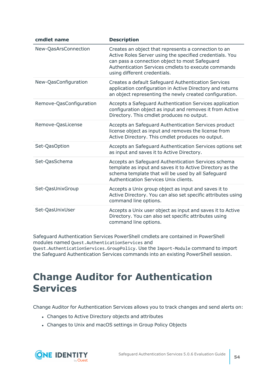| cmdlet name             | <b>Description</b>                                                                                                                                                                                                                                        |
|-------------------------|-----------------------------------------------------------------------------------------------------------------------------------------------------------------------------------------------------------------------------------------------------------|
| New-QasArsConnection    | Creates an object that represents a connection to an<br>Active Roles Server using the specified credentials. You<br>can pass a connection object to most Safeguard<br>Authentication Services cmdlets to execute commands<br>using different credentials. |
| New-QasConfiguration    | Creates a default Safeguard Authentication Services<br>application configuration in Active Directory and returns<br>an object representing the newly created configuration.                                                                               |
| Remove-QasConfiguration | Accepts a Safeguard Authentication Services application<br>configuration object as input and removes it from Active<br>Directory. This cmdlet produces no output.                                                                                         |
| Remove-QasLicense       | Accepts an Safeguard Authentication Services product<br>license object as input and removes the license from<br>Active Directory. This cmdlet produces no output.                                                                                         |
| Set-QasOption           | Accepts an Safeguard Authentication Services options set<br>as input and saves it to Active Directory.                                                                                                                                                    |
| Set-QasSchema           | Accepts an Safeguard Authentication Services schema<br>template as input and saves it to Active Directory as the<br>schema template that will be used by all Safeguard<br>Authentication Services Unix clients.                                           |
| Set-QasUnixGroup        | Accepts a Unix group object as input and saves it to<br>Active Directory. You can also set specific attributes using<br>command line options.                                                                                                             |
| Set-QasUnixUser         | Accepts a Unix user object as input and saves it to Active<br>Directory. You can also set specific attributes using<br>command line options.                                                                                                              |

Safeguard Authentication Services PowerShell cmdlets are contained in PowerShell modules named Quest.AuthenticationServices and

Quest.AuthenticationServices.GroupPolicy. Use the Import-Module command to import the Safeguard Authentication Services commands into an existing PowerShell session.

# <span id="page-53-0"></span>**Change Auditor for Authentication Services**

Change Auditor for Authentication Services allows you to track changes and send alerts on:

- Changes to Active Directory objects and attributes
- Changes to Unix and macOS settings in Group Policy Objects

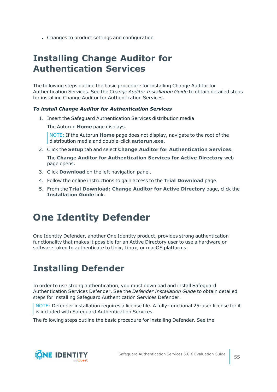• Changes to product settings and configuration

# <span id="page-54-0"></span>**Installing Change Auditor for Authentication Services**

The following steps outline the basic procedure for installing Change Auditor for Authentication Services. See the *Change Auditor Installation Guide* to obtain detailed steps for installing Change Auditor for Authentication Services.

#### *To install Change Auditor for Authentication Services*

1. Insert the Safeguard Authentication Services distribution media.

The Autorun **Home** page displays.

NOTE: If the Autorun **Home** page does not display, navigate to the root of the distribution media and double-click **autorun.exe**.

2. Click the **Setup** tab and select **Change Auditor for Authentication Services**.

The **Change Auditor for Authentication Services for Active Directory** web page opens.

- 3. Click **Download** on the left navigation panel.
- 4. Follow the online instructions to gain access to the **Trial Download** page.
- 5. From the **Trial Download: Change Auditor for Active Directory** page, click the **Installation Guide** link.

# <span id="page-54-1"></span>**One Identity Defender**

One Identity Defender, another One Identity product, provides strong authentication functionality that makes it possible for an Active Directory user to use a hardware or software token to authenticate to Unix, Linux, or macOS platforms.

# <span id="page-54-2"></span>**Installing Defender**

In order to use strong authentication, you must download and install Safeguard Authentication Services Defender. See the *Defender Installation Guide* to obtain detailed steps for installing Safeguard Authentication Services Defender.

NOTE: Defender installation requires a license file. A fully-functional 25-user license for it is included with Safeguard Authentication Services.

The following steps outline the basic procedure for installing Defender. See the

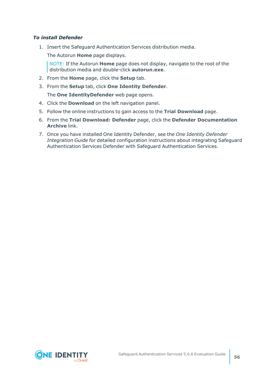#### *To install Defender*

1. Insert the Safeguard Authentication Services distribution media.

The Autorun **Home** page displays.

NOTE: If the Autorun **Home** page does not display, navigate to the root of the distribution media and double-click **autorun.exe**.

- 2. From the **Home** page, click the **Setup** tab.
- 3. From the **Setup** tab, click **One Identity Defender**.

The **One IdentityDefender** web page opens.

- 4. Click the **Download** on the left navigation panel.
- 5. Follow the online instructions to gain access to the **Trial Download** page.
- 6. From the **Trial Download: Defender** page, click the **Defender Documentation Archive** link.
- 7. Once you have installed One Identity Defender, see the *One Identity Defender Integration Guide* for detailed configuration instructions about integrating Safeguard Authentication Services Defender with Safeguard Authentication Services.

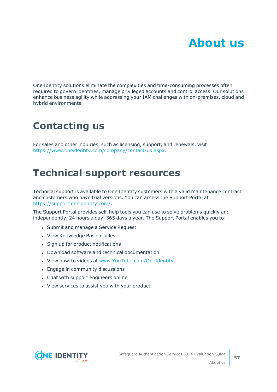<span id="page-56-0"></span>One Identity solutions eliminate the complexities and time-consuming processes often required to govern identities, manage privileged accounts and control access. Our solutions enhance business agility while addressing your IAM challenges with on-premises, cloud and hybrid environments.

# <span id="page-56-1"></span>**Contacting us**

For sales and other inquiries, such as licensing, support, and renewals, visit [https://www.oneidentity.com/company/contact-us.aspx.](https://www.oneidentity.com/company/contact-us.aspx)

# <span id="page-56-2"></span>**Technical support resources**

Technical support is available to One Identity customers with a valid maintenance contract and customers who have trial versions. You can access the Support Portal at [https://support.oneidentity.com/.](https://support.oneidentity.com/)

The Support Portal provides self-help tools you can use to solve problems quickly and independently, 24 hours a day, 365 days a year. The Support Portal enables you to:

- Submit and manage a Service Request
- View Knowledge Base articles
- Sign up for product notifications
- Download software and technical documentation
- View how-to videos at [www.YouTube.com/OneIdentity](http://www.youtube.com/OneIdentity)
- Engage in community discussions
- Chat with support engineers online
- View services to assist you with your product

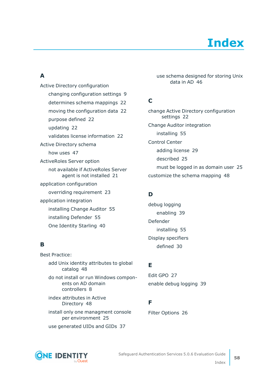

### <span id="page-57-0"></span>**A**

Active Directory configuration changing configuration settings  [9](#page-8-1) determines schema mappings  [22](#page-21-0) moving the configuration data  [22](#page-21-0) purpose defined  [22](#page-21-0) updating  [22](#page-21-0) validates license information  [22](#page-21-0) Active Directory schema how uses  [47](#page-46-0) ActiveRoles Server option not available if ActiveRoles Server agent is not installed  [21](#page-20-0) application configuration overriding requirement  [23](#page-22-0) application integration installing Change Auditor  [55](#page-54-0) installing Defender  [55](#page-54-2) One Identity Starling  [40](#page-39-0)

### **B**

Best Practice: add Unix identity attributes to global catalog  [48](#page-47-0) do not install or run Windows components on AD domain controllers  [8](#page-7-1) index attributes in Active Directory  [48](#page-47-0) install only one managment console per environment  [25](#page-24-1) use generated UIDs and GIDs  [37](#page-36-0)

use schema designed for storing Unix data in AD [46](#page-45-1)

### **C**

change Active Directory configuration settings  [22](#page-21-0) Change Auditor integration installing  [55](#page-54-0) Control Center adding license  [29](#page-28-1) described  [25](#page-24-1) must be logged in as domain user  [25](#page-24-1) customize the schema mapping  [48](#page-47-1)

### **D**

debug logging enabling  [39](#page-38-2) Defender installing  [55](#page-54-2) Display specifiers defined  [30](#page-29-0)

### **E**

Edit GPO  [27](#page-26-0) enable debug logging  [39](#page-38-2)

### **F**

Filter Options  [26](#page-25-1)



Safeguard Authentication Services 5.0.6 Evaluation Guide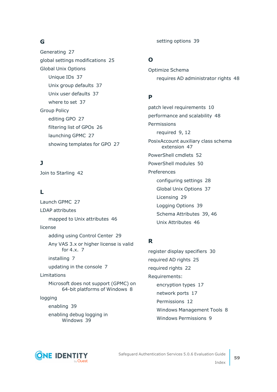### **G**

Generating  [27](#page-26-1) global settings modifications  [25](#page-24-1) Global Unix Options Unique IDs  [37](#page-36-0) Unix group defaults  [37](#page-36-0) Unix user defaults  [37](#page-36-0) where to set  [37](#page-36-0) Group Policy editing GPO  [27](#page-26-0) filtering list of GPOs  [26](#page-25-1) launching GPMC  [27](#page-26-3) showing templates for GPO  [27](#page-26-2)

### **J**

Join to Starling  [42](#page-41-0)

### **L**

Launch GPMC  [27](#page-26-3) LDAP attributes mapped to Unix attributes  [46](#page-45-1) license adding using Control Center  [29](#page-28-1) Any VAS 3.x or higher license is valid for 4.x.  [7](#page-6-1) installing  [7](#page-6-1) updating in the console  [7](#page-6-1) Limitations Microsoft does not support (GPMC) on 64-bit platforms of Windows  [8](#page-7-1) logging enabling  [39](#page-38-0) enabling debug logging in Windows  [39](#page-38-2)

setting options  [39](#page-38-0)

### **O**

Optimize Schema requires AD administrator rights  [48](#page-47-0)

### **P**

patch level requirements  [10](#page-9-0) performance and scalability  [48](#page-47-0) Permissions required  [9,](#page-8-1) [12](#page-11-1) PosixAccount auxiliary class schema extension  [47](#page-46-0) PowerShell cmdlets  [52](#page-51-0) PowerShell modules  [50](#page-49-0) Preferences configuring settings  [28](#page-27-1) Global Unix Options  [37](#page-36-0) Licensing  [29](#page-28-0) Logging Options  [39](#page-38-0) Schema Attributes  [39](#page-38-1), [46](#page-45-0) Unix Attributes  [46](#page-45-1)

### **R**

register display specifiers  [30](#page-29-1) required AD rights  [25](#page-24-1) required rights  [22](#page-21-0) Requirements: encryption types  [17](#page-16-0) network ports  [17](#page-16-1) Permissions  [12](#page-11-1) Windows Management Tools  [8](#page-7-1) Windows Permissions  [9](#page-8-1)